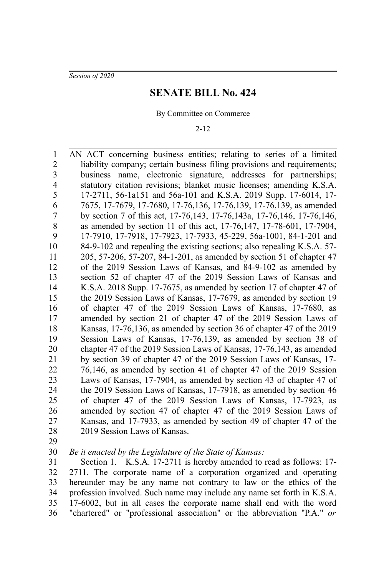*Session of 2020*

# **SENATE BILL No. 424**

By Committee on Commerce

2-12

AN ACT concerning business entities; relating to series of a limited liability company; certain business filing provisions and requirements; business name, electronic signature, addresses for partnerships; statutory citation revisions; blanket music licenses; amending K.S.A. 17-2711, 56-1a151 and 56a-101 and K.S.A. 2019 Supp. 17-6014, 17- 7675, 17-7679, 17-7680, 17-76,136, 17-76,139, 17-76,139, as amended by section 7 of this act, 17-76,143, 17-76,143a, 17-76,146, 17-76,146, as amended by section 11 of this act, 17-76,147, 17-78-601, 17-7904, 17-7910, 17-7918, 17-7923, 17-7933, 45-229, 56a-1001, 84-1-201 and 84-9-102 and repealing the existing sections; also repealing K.S.A. 57- 205, 57-206, 57-207, 84-1-201, as amended by section 51 of chapter 47 of the 2019 Session Laws of Kansas, and 84-9-102 as amended by section 52 of chapter 47 of the 2019 Session Laws of Kansas and K.S.A. 2018 Supp. 17-7675, as amended by section 17 of chapter 47 of the 2019 Session Laws of Kansas, 17-7679, as amended by section 19 of chapter 47 of the 2019 Session Laws of Kansas, 17-7680, as amended by section 21 of chapter 47 of the 2019 Session Laws of Kansas, 17-76,136, as amended by section 36 of chapter 47 of the 2019 Session Laws of Kansas, 17-76,139, as amended by section 38 of chapter 47 of the 2019 Session Laws of Kansas, 17-76,143, as amended by section 39 of chapter 47 of the 2019 Session Laws of Kansas, 17- 76,146, as amended by section 41 of chapter 47 of the 2019 Session Laws of Kansas, 17-7904, as amended by section 43 of chapter 47 of the 2019 Session Laws of Kansas, 17-7918, as amended by section 46 of chapter 47 of the 2019 Session Laws of Kansas, 17-7923, as amended by section 47 of chapter 47 of the 2019 Session Laws of Kansas, and 17-7933, as amended by section 49 of chapter 47 of the 2019 Session Laws of Kansas. 1 2 3 4 5 6 7 8 9 10 11 12 13 14 15 16 17 18 19 20 21 22 23  $24$ 25 26 27 28

29

*Be it enacted by the Legislature of the State of Kansas:* 30

Section 1. K.S.A. 17-2711 is hereby amended to read as follows: 17-2711. The corporate name of a corporation organized and operating hereunder may be any name not contrary to law or the ethics of the profession involved. Such name may include any name set forth in K.S.A. 17-6002, but in all cases the corporate name shall end with the word "chartered" or "professional association" or the abbreviation "P.A." *or* 31 32 33 34 35 36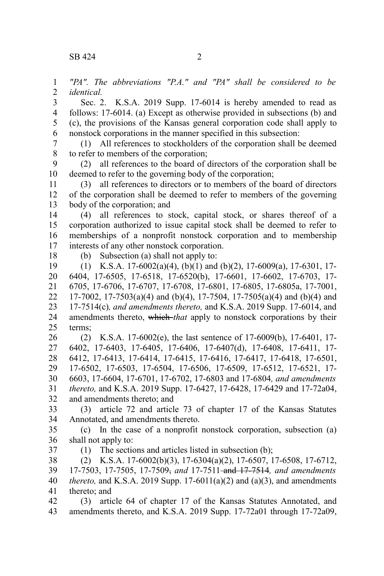*"PA". The abbreviations "P.A." and "PA" shall be considered to be identical.* 1 2

Sec. 2. K.S.A. 2019 Supp. 17-6014 is hereby amended to read as follows: 17-6014. (a) Except as otherwise provided in subsections (b) and (c), the provisions of the Kansas general corporation code shall apply to nonstock corporations in the manner specified in this subsection: 3 4 5 6

(1) All references to stockholders of the corporation shall be deemed to refer to members of the corporation; 7 8

(2) all references to the board of directors of the corporation shall be deemed to refer to the governing body of the corporation; 9 10

(3) all references to directors or to members of the board of directors of the corporation shall be deemed to refer to members of the governing body of the corporation; and 11 12 13

(4) all references to stock, capital stock, or shares thereof of a corporation authorized to issue capital stock shall be deemed to refer to memberships of a nonprofit nonstock corporation and to membership interests of any other nonstock corporation. 14 15 16 17

18

(b) Subsection (a) shall not apply to:

(1) K.S.A. 17-6002(a)(4), (b)(1) and (b)(2), 17-6009(a), 17-6301, 17- 6404, 17-6505, 17-6518, 17-6520(b), 17-6601, 17-6602, 17-6703, 17- 6705, 17-6706, 17-6707, 17-6708, 17-6801, 17-6805, 17-6805a, 17-7001, 17-7002, 17-7503(a)(4) and (b)(4), 17-7504, 17-7505(a)(4) and (b)(4) and 17-7514(c)*, and amendments thereto,* and K.S.A. 2019 Supp. 17-6014, and amendments thereto, which *that* apply to nonstock corporations by their terms; 19 20 21 22 23 24 25

(2) K.S.A. 17-6002(e), the last sentence of 17-6009(b), 17-6401, 17- 6402, 17-6403, 17-6405, 17-6406, 17-6407(d), 17-6408, 17-6411, 17- 6412, 17-6413, 17-6414, 17-6415, 17-6416, 17-6417, 17-6418, 17-6501, 17-6502, 17-6503, 17-6504, 17-6506, 17-6509, 17-6512, 17-6521, 17- 6603, 17-6604, 17-6701, 17-6702, 17-6803 and 17-6804*, and amendments thereto,* and K.S.A. 2019 Supp. 17-6427, 17-6428, 17-6429 and 17-72a04, and amendments thereto; and 26 27 28 29 30 31 32

(3) article 72 and article 73 of chapter 17 of the Kansas Statutes Annotated, and amendments thereto. 33 34

(c) In the case of a nonprofit nonstock corporation, subsection (a) shall not apply to: 35 36

37

(1) The sections and articles listed in subsection (b);

(2) K.S.A. 17-6002(b)(3), 17-6304(a)(2), 17-6507, 17-6508, 17-6712, 17-7503, 17-7505, 17-7509, *and* 17-7511 and 17-7514*, and amendments thereto,* and K.S.A. 2019 Supp.  $17-6011(a)(2)$  and  $(a)(3)$ , and amendments thereto; and 38 39 40 41

(3) article 64 of chapter 17 of the Kansas Statutes Annotated, and amendments thereto, and K.S.A. 2019 Supp. 17-72a01 through 17-72a09, 42 43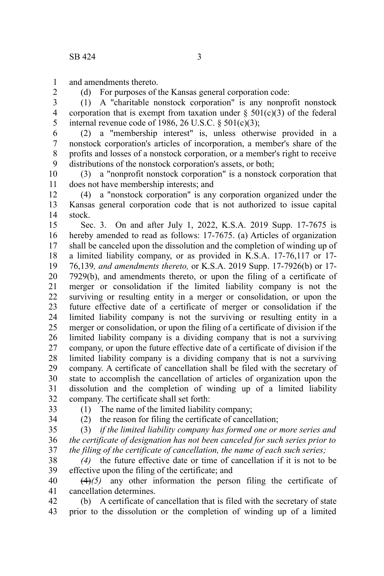2

and amendments thereto. 1

(d) For purposes of the Kansas general corporation code:

(1) A "charitable nonstock corporation" is any nonprofit nonstock corporation that is exempt from taxation under  $\S 501(c)(3)$  of the federal internal revenue code of 1986, 26 U.S.C.  $\S$  501(c)(3); 3 4 5

(2) a "membership interest" is, unless otherwise provided in a nonstock corporation's articles of incorporation, a member's share of the profits and losses of a nonstock corporation, or a member's right to receive distributions of the nonstock corporation's assets, or both; 6 7 8 9

(3) a "nonprofit nonstock corporation" is a nonstock corporation that does not have membership interests; and 10 11

(4) a "nonstock corporation" is any corporation organized under the Kansas general corporation code that is not authorized to issue capital stock. 12 13 14

Sec. 3. On and after July 1, 2022, K.S.A. 2019 Supp. 17-7675 is hereby amended to read as follows: 17-7675. (a) Articles of organization shall be canceled upon the dissolution and the completion of winding up of a limited liability company, or as provided in K.S.A. 17-76,117 or 17- 76,139*, and amendments thereto,* or K.S.A. 2019 Supp. 17-7926(b) or 17- 7929(b), and amendments thereto, or upon the filing of a certificate of merger or consolidation if the limited liability company is not the surviving or resulting entity in a merger or consolidation, or upon the future effective date of a certificate of merger or consolidation if the limited liability company is not the surviving or resulting entity in a merger or consolidation, or upon the filing of a certificate of division if the limited liability company is a dividing company that is not a surviving company, or upon the future effective date of a certificate of division if the limited liability company is a dividing company that is not a surviving company. A certificate of cancellation shall be filed with the secretary of state to accomplish the cancellation of articles of organization upon the dissolution and the completion of winding up of a limited liability company. The certificate shall set forth: 15 16 17 18 19 20 21 22 23 24 25 26 27 28 29 30 31 32

33 34 (1) The name of the limited liability company;

(2) the reason for filing the certificate of cancellation;

(3) *if the limited liability company has formed one or more series and the certificate of designation has not been canceled for such series prior to the filing of the certificate of cancellation, the name of each such series;* 35 36 37

*(4)* the future effective date or time of cancellation if it is not to be effective upon the filing of the certificate; and 38 39

(4)*(5)* any other information the person filing the certificate of cancellation determines. 40 41

(b) A certificate of cancellation that is filed with the secretary of state prior to the dissolution or the completion of winding up of a limited 42 43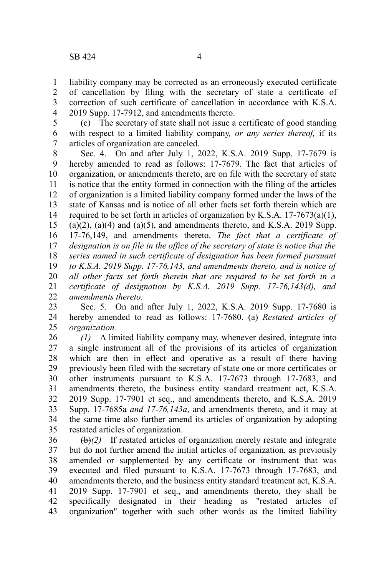liability company may be corrected as an erroneously executed certificate of cancellation by filing with the secretary of state a certificate of correction of such certificate of cancellation in accordance with K.S.A. 2019 Supp. 17-7912, and amendments thereto. 1 2 3 4

(c) The secretary of state shall not issue a certificate of good standing with respect to a limited liability company*, or any series thereof,* if its articles of organization are canceled. 5 6 7

Sec. 4. On and after July 1, 2022, K.S.A. 2019 Supp. 17-7679 is hereby amended to read as follows: 17-7679. The fact that articles of organization, or amendments thereto, are on file with the secretary of state is notice that the entity formed in connection with the filing of the articles of organization is a limited liability company formed under the laws of the state of Kansas and is notice of all other facts set forth therein which are required to be set forth in articles of organization by K.S.A.  $17-7673(a)(1)$ ,  $(a)(2)$ ,  $(a)(4)$  and  $(a)(5)$ , and amendments thereto, and K.S.A. 2019 Supp. 17-76,149, and amendments thereto. *The fact that a certificate of designation is on file in the office of the secretary of state is notice that the series named in such certificate of designation has been formed pursuant to K.S.A. 2019 Supp. 17-76,143, and amendments thereto, and is notice of all other facts set forth therein that are required to be set forth in a certificate of designation by K.S.A. 2019 Supp. 17-76,143(d), and amendments thereto.* 8 9 10 11 12 13 14 15 16 17 18 19 20 21 22

Sec. 5. On and after July 1, 2022, K.S.A. 2019 Supp. 17-7680 is hereby amended to read as follows: 17-7680. (a) *Restated articles of organization.* 23 24 25

*(1)* A limited liability company may, whenever desired, integrate into a single instrument all of the provisions of its articles of organization which are then in effect and operative as a result of there having previously been filed with the secretary of state one or more certificates or other instruments pursuant to K.S.A. 17-7673 through 17-7683, and amendments thereto, the business entity standard treatment act, K.S.A. 2019 Supp. 17-7901 et seq., and amendments thereto, and K.S.A. 2019 Supp. 17-7685a *and 17-76,143a*, and amendments thereto, and it may at the same time also further amend its articles of organization by adopting restated articles of organization. 26 27 28 29 30 31 32 33 34 35

(b)*(2)* If restated articles of organization merely restate and integrate but do not further amend the initial articles of organization, as previously amended or supplemented by any certificate or instrument that was executed and filed pursuant to K.S.A. 17-7673 through 17-7683, and amendments thereto, and the business entity standard treatment act, K.S.A. 2019 Supp. 17-7901 et seq., and amendments thereto, they shall be specifically designated in their heading as "restated articles of organization" together with such other words as the limited liability 36 37 38 39 40 41 42 43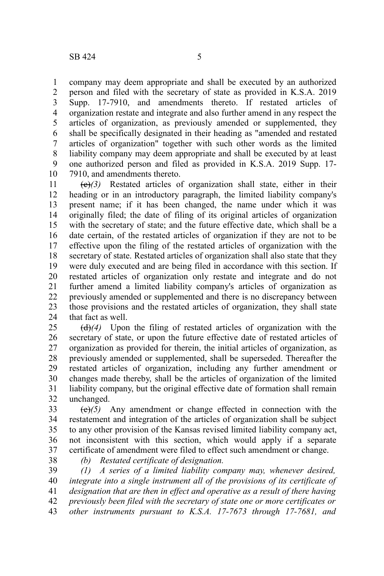company may deem appropriate and shall be executed by an authorized person and filed with the secretary of state as provided in K.S.A. 2019 Supp. 17-7910, and amendments thereto. If restated articles of organization restate and integrate and also further amend in any respect the articles of organization, as previously amended or supplemented, they shall be specifically designated in their heading as "amended and restated articles of organization" together with such other words as the limited liability company may deem appropriate and shall be executed by at least one authorized person and filed as provided in K.S.A. 2019 Supp. 17- 7910, and amendments thereto. 1 2 3 4 5 6 7 8 9 10

(c)*(3)* Restated articles of organization shall state, either in their heading or in an introductory paragraph, the limited liability company's present name; if it has been changed, the name under which it was originally filed; the date of filing of its original articles of organization with the secretary of state; and the future effective date, which shall be a date certain, of the restated articles of organization if they are not to be effective upon the filing of the restated articles of organization with the secretary of state. Restated articles of organization shall also state that they were duly executed and are being filed in accordance with this section. If restated articles of organization only restate and integrate and do not further amend a limited liability company's articles of organization as previously amended or supplemented and there is no discrepancy between those provisions and the restated articles of organization, they shall state that fact as well. 11 12 13 14 15 16 17 18 19 20 21 22 23 24

(d)*(4)* Upon the filing of restated articles of organization with the secretary of state, or upon the future effective date of restated articles of organization as provided for therein, the initial articles of organization, as previously amended or supplemented, shall be superseded. Thereafter the restated articles of organization, including any further amendment or changes made thereby, shall be the articles of organization of the limited liability company, but the original effective date of formation shall remain unchanged. 25 26 27 28 29 30 31 32

(e)*(5)* Any amendment or change effected in connection with the restatement and integration of the articles of organization shall be subject to any other provision of the Kansas revised limited liability company act, not inconsistent with this section, which would apply if a separate certificate of amendment were filed to effect such amendment or change. 33 34 35 36 37

38

*(b) Restated certificate of designation.*

*(1) A series of a limited liability company may, whenever desired, integrate into a single instrument all of the provisions of its certificate of designation that are then in effect and operative as a result of there having previously been filed with the secretary of state one or more certificates or other instruments pursuant to K.S.A. 17-7673 through 17-7681, and* 39 40 41 42 43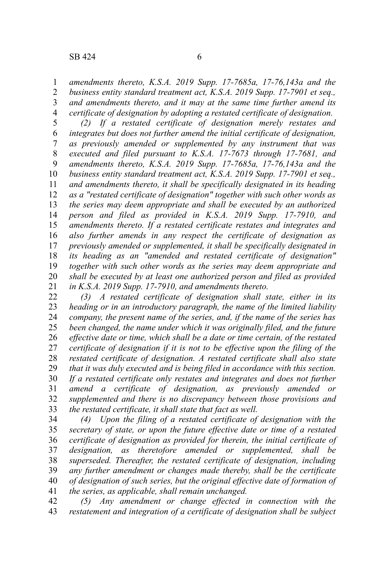*amendments thereto, K.S.A. 2019 Supp. 17-7685a, 17-76,143a and the business entity standard treatment act, K.S.A. 2019 Supp. 17-7901 et seq., and amendments thereto, and it may at the same time further amend its certificate of designation by adopting a restated certificate of designation.* 1 2 3 4

*(2) If a restated certificate of designation merely restates and integrates but does not further amend the initial certificate of designation, as previously amended or supplemented by any instrument that was executed and filed pursuant to K.S.A. 17-7673 through 17-7681, and amendments thereto, K.S.A. 2019 Supp. 17-7685a, 17-76,143a and the business entity standard treatment act, K.S.A. 2019 Supp. 17-7901 et seq., and amendments thereto, it shall be specifically designated in its heading as a "restated certificate of designation" together with such other words as the series may deem appropriate and shall be executed by an authorized person and filed as provided in K.S.A. 2019 Supp. 17-7910, and amendments thereto. If a restated certificate restates and integrates and also further amends in any respect the certificate of designation as previously amended or supplemented, it shall be specifically designated in its heading as an "amended and restated certificate of designation" together with such other words as the series may deem appropriate and shall be executed by at least one authorized person and filed as provided in K.S.A. 2019 Supp. 17-7910, and amendments thereto.* 5 6 7 8 9 10 11 12 13 14 15 16 17 18 19 20 21

*(3) A restated certificate of designation shall state, either in its heading or in an introductory paragraph, the name of the limited liability company, the present name of the series, and, if the name of the series has been changed, the name under which it was originally filed, and the future effective date or time, which shall be a date or time certain, of the restated certificate of designation if it is not to be effective upon the filing of the restated certificate of designation. A restated certificate shall also state that it was duly executed and is being filed in accordance with this section. If a restated certificate only restates and integrates and does not further amend a certificate of designation, as previously amended or supplemented and there is no discrepancy between those provisions and the restated certificate, it shall state that fact as well.* 22 23 24 25 26 27 28 29 30 31 32 33

*(4) Upon the filing of a restated certificate of designation with the secretary of state, or upon the future effective date or time of a restated certificate of designation as provided for therein, the initial certificate of designation, as theretofore amended or supplemented, shall be superseded. Thereafter, the restated certificate of designation, including any further amendment or changes made thereby, shall be the certificate of designation of such series, but the original effective date of formation of the series, as applicable, shall remain unchanged.* 34 35 36 37 38 39 40 41

*(5) Any amendment or change effected in connection with the restatement and integration of a certificate of designation shall be subject* 42 43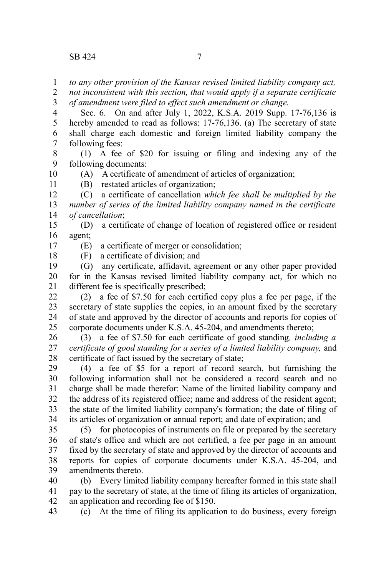*to any other provision of the Kansas revised limited liability company act,* 1

*not inconsistent with this section, that would apply if a separate certificate of amendment were filed to effect such amendment or change.* 2 3

Sec. 6. On and after July 1, 2022, K.S.A. 2019 Supp. 17-76,136 is hereby amended to read as follows: 17-76,136. (a) The secretary of state shall charge each domestic and foreign limited liability company the following fees: 4 5 6 7

(1) A fee of \$20 for issuing or filing and indexing any of the following documents: 8 9

(A) A certificate of amendment of articles of organization;

(B) restated articles of organization;

(C) a certificate of cancellation *which fee shall be multiplied by the number of series of the limited liability company named in the certificate of cancellation*; 12 13 14

(D) a certificate of change of location of registered office or resident agent; 15 16

17 18

10 11

> (E) a certificate of merger or consolidation; (F) a certificate of division; and

(G) any certificate, affidavit, agreement or any other paper provided for in the Kansas revised limited liability company act, for which no different fee is specifically prescribed; 19 20 21

(2) a fee of \$7.50 for each certified copy plus a fee per page, if the secretary of state supplies the copies, in an amount fixed by the secretary of state and approved by the director of accounts and reports for copies of corporate documents under K.S.A. 45-204, and amendments thereto; 22 23 24 25

(3) a fee of \$7.50 for each certificate of good standing*, including a certificate of good standing for a series of a limited liability company,* and certificate of fact issued by the secretary of state; 26 27 28

(4) a fee of \$5 for a report of record search, but furnishing the following information shall not be considered a record search and no charge shall be made therefor: Name of the limited liability company and the address of its registered office; name and address of the resident agent; the state of the limited liability company's formation; the date of filing of its articles of organization or annual report; and date of expiration; and 29 30 31 32 33 34

(5) for photocopies of instruments on file or prepared by the secretary of state's office and which are not certified, a fee per page in an amount fixed by the secretary of state and approved by the director of accounts and reports for copies of corporate documents under K.S.A. 45-204, and amendments thereto. 35 36 37 38 39

(b) Every limited liability company hereafter formed in this state shall pay to the secretary of state, at the time of filing its articles of organization, an application and recording fee of \$150. 40 41 42

(c) At the time of filing its application to do business, every foreign 43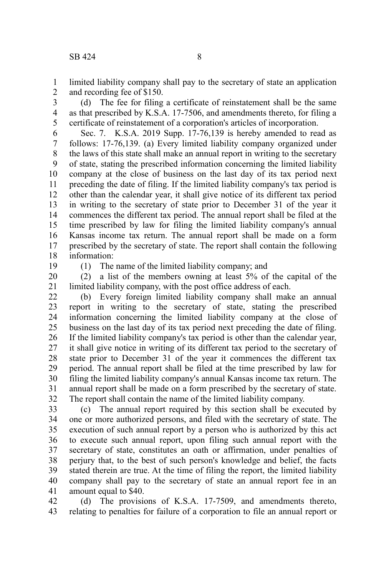limited liability company shall pay to the secretary of state an application and recording fee of \$150. 1 2

(d) The fee for filing a certificate of reinstatement shall be the same as that prescribed by K.S.A. 17-7506, and amendments thereto, for filing a certificate of reinstatement of a corporation's articles of incorporation. 3 4 5

Sec. 7. K.S.A. 2019 Supp. 17-76,139 is hereby amended to read as follows: 17-76,139. (a) Every limited liability company organized under the laws of this state shall make an annual report in writing to the secretary of state, stating the prescribed information concerning the limited liability company at the close of business on the last day of its tax period next preceding the date of filing. If the limited liability company's tax period is other than the calendar year, it shall give notice of its different tax period in writing to the secretary of state prior to December 31 of the year it commences the different tax period. The annual report shall be filed at the time prescribed by law for filing the limited liability company's annual Kansas income tax return. The annual report shall be made on a form prescribed by the secretary of state. The report shall contain the following information: 6 7 8 9 10 11 12 13 14 15 16 17 18

19

(1) The name of the limited liability company; and

(2) a list of the members owning at least 5% of the capital of the limited liability company, with the post office address of each. 20 21

(b) Every foreign limited liability company shall make an annual report in writing to the secretary of state, stating the prescribed information concerning the limited liability company at the close of business on the last day of its tax period next preceding the date of filing. If the limited liability company's tax period is other than the calendar year, it shall give notice in writing of its different tax period to the secretary of state prior to December 31 of the year it commences the different tax period. The annual report shall be filed at the time prescribed by law for filing the limited liability company's annual Kansas income tax return. The annual report shall be made on a form prescribed by the secretary of state. The report shall contain the name of the limited liability company. 22 23 24 25 26 27 28 29 30 31 32

(c) The annual report required by this section shall be executed by one or more authorized persons, and filed with the secretary of state. The execution of such annual report by a person who is authorized by this act to execute such annual report, upon filing such annual report with the secretary of state, constitutes an oath or affirmation, under penalties of perjury that, to the best of such person's knowledge and belief, the facts stated therein are true. At the time of filing the report, the limited liability company shall pay to the secretary of state an annual report fee in an amount equal to \$40. 33 34 35 36 37 38 39 40 41

(d) The provisions of K.S.A. 17-7509, and amendments thereto, relating to penalties for failure of a corporation to file an annual report or 42 43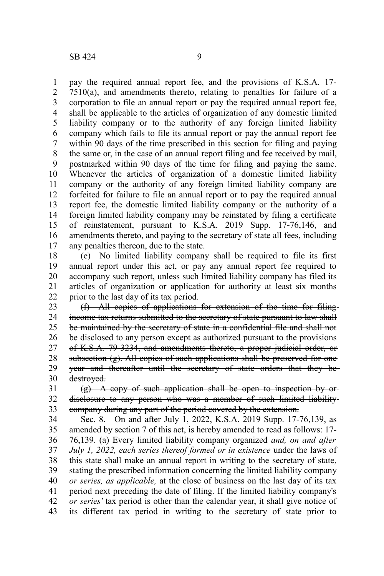pay the required annual report fee, and the provisions of K.S.A. 17- 7510(a), and amendments thereto, relating to penalties for failure of a corporation to file an annual report or pay the required annual report fee, shall be applicable to the articles of organization of any domestic limited liability company or to the authority of any foreign limited liability company which fails to file its annual report or pay the annual report fee within 90 days of the time prescribed in this section for filing and paying the same or, in the case of an annual report filing and fee received by mail, postmarked within 90 days of the time for filing and paying the same. Whenever the articles of organization of a domestic limited liability company or the authority of any foreign limited liability company are forfeited for failure to file an annual report or to pay the required annual report fee, the domestic limited liability company or the authority of a foreign limited liability company may be reinstated by filing a certificate of reinstatement, pursuant to K.S.A. 2019 Supp. 17-76,146, and amendments thereto, and paying to the secretary of state all fees, including any penalties thereon, due to the state. 1 2 3 4 5 6 7 8 9 10 11 12 13 14 15 16 17

(e) No limited liability company shall be required to file its first annual report under this act, or pay any annual report fee required to accompany such report, unless such limited liability company has filed its articles of organization or application for authority at least six months prior to the last day of its tax period. 18 19 20 21 22

(f) All copies of applications for extension of the time for filing income tax returns submitted to the secretary of state pursuant to law shall be maintained by the secretary of state in a confidential file and shall not be disclosed to any person except as authorized pursuant to the provisions of K.S.A. 79-3234, and amendments thereto, a proper judicial order, or subsection (g). All copies of such applications shall be preserved for one year and thereafter until the secretary of state orders that they be destroyed. 23 24 25 26 27 28 29 30

(g) A copy of such application shall be open to inspection by or disclosure to any person who was a member of such limited liabilitycompany during any part of the period covered by the extension. 31 32 33

Sec. 8. On and after July 1, 2022, K.S.A. 2019 Supp. 17-76,139, as amended by section 7 of this act, is hereby amended to read as follows: 17- 76,139. (a) Every limited liability company organized *and, on and after July 1, 2022, each series thereof formed or in existence* under the laws of this state shall make an annual report in writing to the secretary of state, stating the prescribed information concerning the limited liability company *or series, as applicable,* at the close of business on the last day of its tax period next preceding the date of filing. If the limited liability company's *or series'* tax period is other than the calendar year, it shall give notice of its different tax period in writing to the secretary of state prior to 34 35 36 37 38 39 40 41 42 43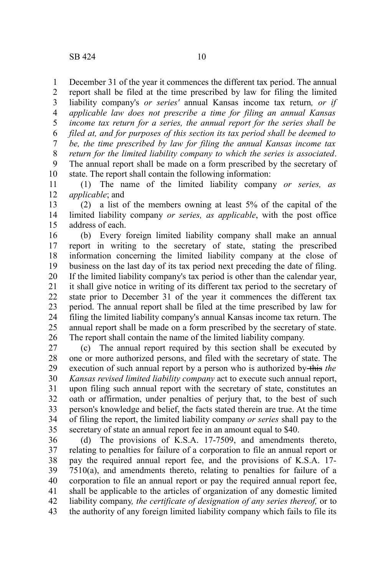December 31 of the year it commences the different tax period. The annual report shall be filed at the time prescribed by law for filing the limited liability company's *or series'* annual Kansas income tax return*, or if applicable law does not prescribe a time for filing an annual Kansas income tax return for a series, the annual report for the series shall be filed at, and for purposes of this section its tax period shall be deemed to be, the time prescribed by law for filing the annual Kansas income tax return for the limited liability company to which the series is associated*. The annual report shall be made on a form prescribed by the secretary of state. The report shall contain the following information: 1 2 3 4 5 6 7 8 9 10

(1) The name of the limited liability company *or series, as applicable*; and 11 12

(2) a list of the members owning at least 5% of the capital of the limited liability company *or series, as applicable*, with the post office address of each. 13 14 15

(b) Every foreign limited liability company shall make an annual report in writing to the secretary of state, stating the prescribed information concerning the limited liability company at the close of business on the last day of its tax period next preceding the date of filing. If the limited liability company's tax period is other than the calendar year, it shall give notice in writing of its different tax period to the secretary of state prior to December 31 of the year it commences the different tax period. The annual report shall be filed at the time prescribed by law for filing the limited liability company's annual Kansas income tax return. The annual report shall be made on a form prescribed by the secretary of state. The report shall contain the name of the limited liability company. 16 17 18 19 20 21 22 23 24 25 26

(c) The annual report required by this section shall be executed by one or more authorized persons, and filed with the secretary of state. The execution of such annual report by a person who is authorized by this *the Kansas revised limited liability company* act to execute such annual report, upon filing such annual report with the secretary of state, constitutes an oath or affirmation, under penalties of perjury that, to the best of such person's knowledge and belief, the facts stated therein are true. At the time of filing the report, the limited liability company *or series* shall pay to the secretary of state an annual report fee in an amount equal to \$40. 27 28 29 30 31 32 33 34 35

(d) The provisions of K.S.A. 17-7509, and amendments thereto, relating to penalties for failure of a corporation to file an annual report or pay the required annual report fee, and the provisions of K.S.A. 17- 7510(a), and amendments thereto, relating to penalties for failure of a corporation to file an annual report or pay the required annual report fee, shall be applicable to the articles of organization of any domestic limited liability company*, the certificate of designation of any series thereof,* or to the authority of any foreign limited liability company which fails to file its 36 37 38 39 40 41 42 43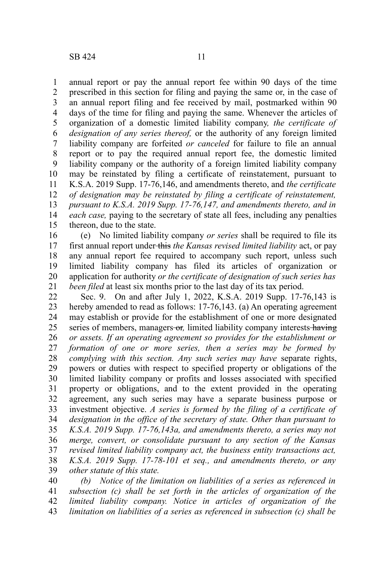annual report or pay the annual report fee within 90 days of the time prescribed in this section for filing and paying the same or, in the case of an annual report filing and fee received by mail, postmarked within 90 days of the time for filing and paying the same. Whenever the articles of organization of a domestic limited liability company*, the certificate of designation of any series thereof,* or the authority of any foreign limited liability company are forfeited *or canceled* for failure to file an annual report or to pay the required annual report fee, the domestic limited liability company or the authority of a foreign limited liability company may be reinstated by filing a certificate of reinstatement, pursuant to K.S.A. 2019 Supp. 17-76,146, and amendments thereto, and *the certificate of designation may be reinstated by filing a certificate of reinstatement, pursuant to K.S.A. 2019 Supp. 17-76,147, and amendments thereto, and in each case,* paying to the secretary of state all fees, including any penalties thereon, due to the state. 1 2 3 4 5 6 7 8 9 10 11 12 13 14 15

(e) No limited liability company *or series* shall be required to file its first annual report under this *the Kansas revised limited liability* act, or pay any annual report fee required to accompany such report, unless such limited liability company has filed its articles of organization or application for authority *or the certificate of designation of such series has been filed* at least six months prior to the last day of its tax period. 16 17 18 19 20 21

Sec. 9. On and after July 1, 2022, K.S.A. 2019 Supp. 17-76,143 is hereby amended to read as follows: 17-76,143. (a) An operating agreement may establish or provide for the establishment of one or more designated series of members, managers-or, limited liability company interests-having *or assets. If an operating agreement so provides for the establishment or formation of one or more series, then a series may be formed by complying with this section. Any such series may have* separate rights, powers or duties with respect to specified property or obligations of the limited liability company or profits and losses associated with specified property or obligations, and to the extent provided in the operating agreement, any such series may have a separate business purpose or investment objective. *A series is formed by the filing of a certificate of designation in the office of the secretary of state. Other than pursuant to K.S.A. 2019 Supp. 17-76,143a, and amendments thereto, a series may not merge, convert, or consolidate pursuant to any section of the Kansas revised limited liability company act, the business entity transactions act, K.S.A. 2019 Supp. 17-78-101 et seq., and amendments thereto, or any other statute of this state. (b) Notice of the limitation on liabilities of a series as referenced in* 22 23 24 25 26 27 28 29 30 31 32 33 34 35 36 37 38 39 40

*subsection (c) shall be set forth in the articles of organization of the limited liability company. Notice in articles of organization of the limitation on liabilities of a series as referenced in subsection (c) shall be* 41 42 43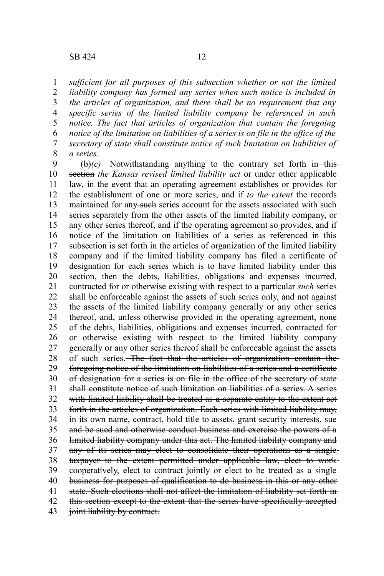*sufficient for all purposes of this subsection whether or not the limited liability company has formed any series when such notice is included in the articles of organization, and there shall be no requirement that any specific series of the limited liability company be referenced in such notice. The fact that articles of organization that contain the foregoing notice of the limitation on liabilities of a series is on file in the office of the secretary of state shall constitute notice of such limitation on liabilities of a series.* 1 2 3 4 5 6 7 8

 $(\theta)$  (c) Notwithstanding anything to the contrary set forth in-thissection *the Kansas revised limited liability act* or under other applicable law, in the event that an operating agreement establishes or provides for the establishment of one or more series, and if *to the extent* the records maintained for any such series account for the assets associated with such series separately from the other assets of the limited liability company, or any other series thereof, and if the operating agreement so provides, and if notice of the limitation on liabilities of a series as referenced in this subsection is set forth in the articles of organization of the limited liability company and if the limited liability company has filed a certificate of designation for each series which is to have limited liability under this section, then the debts, liabilities, obligations and expenses incurred, contracted for or otherwise existing with respect to a particular *such* series shall be enforceable against the assets of such series only, and not against the assets of the limited liability company generally or any other series thereof, and, unless otherwise provided in the operating agreement, none of the debts, liabilities, obligations and expenses incurred, contracted for or otherwise existing with respect to the limited liability company generally or any other series thereof shall be enforceable against the assets of such series. The fact that the articles of organization contain the foregoing notice of the limitation on liabilities of a series and a certificate of designation for a series is on file in the office of the secretary of state shall constitute notice of such limitation on liabilities of a series. A series with limited liability shall be treated as a separate entity to the extent set forth in the articles of organization. Each series with limited liability may, in its own name, contract, hold title to assets, grant security interests, sue and be sued and otherwise conduct business and exercise the powers of a limited liability company under this act. The limited liability company and any of its series may elect to consolidate their operations as a single taxpayer to the extent permitted under applicable law, elect to workcooperatively, elect to contract jointly or elect to be treated as a single business for purposes of qualification to do business in this or any other state. Such elections shall not affect the limitation of liability set forth in this section except to the extent that the series have specifically accepted joint liability by contract. 9 10 11 12 13 14 15 16 17 18 19 20 21 22 23 24 25 26 27 28 29 30 31 32 33 34 35 36 37 38 39 40 41 42 43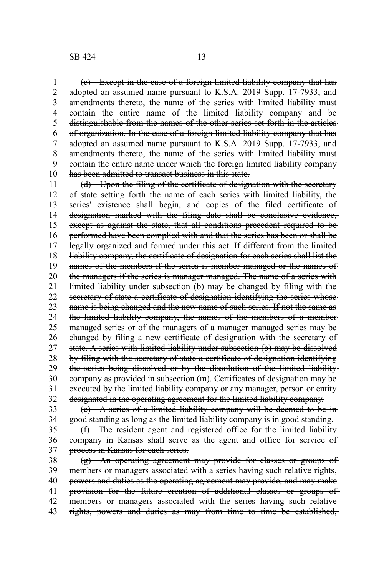(c) Except in the case of a foreign limited liability company that has adopted an assumed name pursuant to K.S.A. 2019 Supp. 17-7933, and amendments thereto, the name of the series with limited liability mustcontain the entire name of the limited liability company and be distinguishable from the names of the other series set forth in the articles of organization. In the case of a foreign limited liability company that has adopted an assumed name pursuant to K.S.A. 2019 Supp. 17-7933, and amendments thereto, the name of the series with limited liability mustcontain the entire name under which the foreign limited liability company has been admitted to transact business in this state. 1 2 3 4 5 6 7 8 9 10

(d) Upon the filing of the certificate of designation with the secretary of state setting forth the name of each series with limited liability, the series' existence shall begin, and copies of the filed certificate of designation marked with the filing date shall be conclusive evidence, except as against the state, that all conditions precedent required to be performed have been complied with and that the series has been or shall be legally organized and formed under this act. If different from the limited liability company, the certificate of designation for each series shall list the names of the members if the series is member managed or the names of the managers if the series is manager managed. The name of a series with limited liability under subsection (b) may be changed by filing with the secretary of state a certificate of designation identifying the series whose name is being changed and the new name of such series. If not the same as the limited liability company, the names of the members of a member managed series or of the managers of a manager managed series may be changed by filing a new certificate of designation with the secretary of state. A series with limited liability under subsection (b) may be dissolved by filing with the secretary of state a certificate of designation identifying the series being dissolved or by the dissolution of the limited liability company as provided in subsection (m). Certificates of designation may be executed by the limited liability company or any manager, person or entity designated in the operating agreement for the limited liability company. 11 12 13 14 15 16 17 18 19 20 21 22 23 24 25 26 27 28 29 30 31 32

(e) A series of a limited liability company will be deemed to be in good standing as long as the limited liability company is in good standing. 33 34

(f) The resident agent and registered office for the limited liability company in Kansas shall serve as the agent and office for service of process in Kansas for each series. 35 36 37

(g) An operating agreement may provide for classes or groups of members or managers associated with a series having such relative rights, powers and duties as the operating agreement may provide, and may make provision for the future creation of additional classes or groups of members or managers associated with the series having such relative rights, powers and duties as may from time to time be established, 38 39 40 41 42 43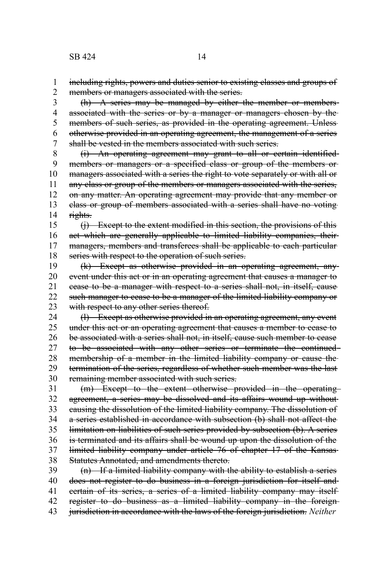including rights, powers and duties senior to existing classes and groups of members or managers associated with the series. 1 2

(h) A series may be managed by either the member or members associated with the series or by a manager or managers chosen by the members of such series, as provided in the operating agreement. Unlessotherwise provided in an operating agreement, the management of a series shall be vested in the members associated with such series. 3 4 5 6 7

(i) An operating agreement may grant to all or certain identified members or managers or a specified class or group of the members or managers associated with a series the right to vote separately or with all or any class or group of the members or managers associated with the series, on any matter. An operating agreement may provide that any member or class or group of members associated with a series shall have no voting rights. 8 9 10 11 12 13 14

(j) Except to the extent modified in this section, the provisions of this act which are generally applicable to limited liability companies, their managers, members and transferees shall be applicable to each particular series with respect to the operation of such series. 15 16 17 18

(k) Except as otherwise provided in an operating agreement, any event under this act or in an operating agreement that causes a manager to cease to be a manager with respect to a series shall not, in itself, cause such manager to cease to be a manager of the limited liability company or with respect to any other series thereof. 19 20 21 22 23

(l) Except as otherwise provided in an operating agreement, any event under this act or an operating agreement that causes a member to cease to be associated with a series shall not, in itself, cause such member to cease to be associated with any other series or terminate the continued membership of a member in the limited liability company or cause the termination of the series, regardless of whether such member was the last remaining member associated with such series. 24 25 26 27 28 29 30

(m) Except to the extent otherwise provided in the operating agreement, a series may be dissolved and its affairs wound up withoutcausing the dissolution of the limited liability company. The dissolution of a series established in accordance with subsection (b) shall not affect the limitation on liabilities of such series provided by subsection (b). A series is terminated and its affairs shall be wound up upon the dissolution of the limited liability company under article 76 of chapter 17 of the Kansas Statutes Annotated, and amendments thereto. 31 32 33 34 35 36 37 38

(n) If a limited liability company with the ability to establish a series does not register to do business in a foreign jurisdiction for itself and certain of its series, a series of a limited liability company may itself register to do business as a limited liability company in the foreign jurisdiction in accordance with the laws of the foreign jurisdiction. *Neither* 39 40 41 42 43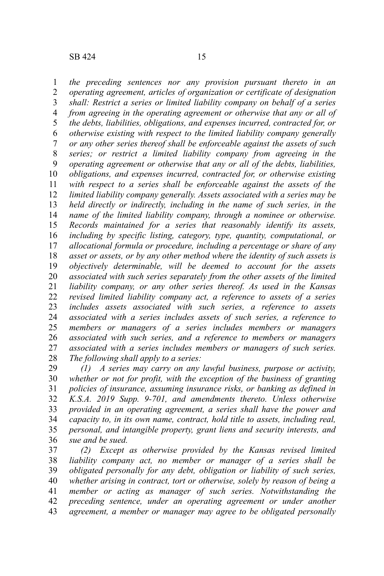*the preceding sentences nor any provision pursuant thereto in an operating agreement, articles of organization or certificate of designation shall: Restrict a series or limited liability company on behalf of a series from agreeing in the operating agreement or otherwise that any or all of the debts, liabilities, obligations, and expenses incurred, contracted for, or otherwise existing with respect to the limited liability company generally or any other series thereof shall be enforceable against the assets of such series; or restrict a limited liability company from agreeing in the operating agreement or otherwise that any or all of the debts, liabilities, obligations, and expenses incurred, contracted for, or otherwise existing with respect to a series shall be enforceable against the assets of the limited liability company generally. Assets associated with a series may be held directly or indirectly, including in the name of such series, in the name of the limited liability company, through a nominee or otherwise. Records maintained for a series that reasonably identify its assets, including by specific listing, category, type, quantity, computational, or allocational formula or procedure, including a percentage or share of any asset or assets, or by any other method where the identity of such assets is objectively determinable, will be deemed to account for the assets associated with such series separately from the other assets of the limited liability company, or any other series thereof. As used in the Kansas revised limited liability company act, a reference to assets of a series includes assets associated with such series, a reference to assets associated with a series includes assets of such series, a reference to members or managers of a series includes members or managers associated with such series, and a reference to members or managers* 1 2 3 4 5 6 7 8 9 10 11 12 13 14 15 16 17 18 19 20 21 22 23 24 25 26

*(1) A series may carry on any lawful business, purpose or activity, whether or not for profit, with the exception of the business of granting policies of insurance, assuming insurance risks, or banking as defined in K.S.A. 2019 Supp. 9-701, and amendments thereto. Unless otherwise provided in an operating agreement, a series shall have the power and capacity to, in its own name, contract, hold title to assets, including real, personal, and intangible property, grant liens and security interests, and sue and be sued.* 29 30 31 32 33 34 35 36

*The following shall apply to a series:*

27 28 *associated with a series includes members or managers of such series.*

*(2) Except as otherwise provided by the Kansas revised limited liability company act, no member or manager of a series shall be obligated personally for any debt, obligation or liability of such series, whether arising in contract, tort or otherwise, solely by reason of being a member or acting as manager of such series. Notwithstanding the preceding sentence, under an operating agreement or under another agreement, a member or manager may agree to be obligated personally* 37 38 39 40 41 42 43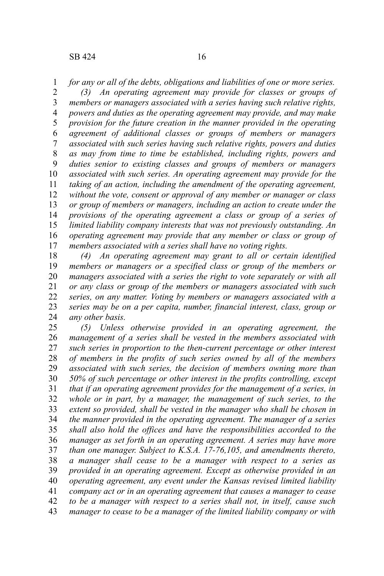*for any or all of the debts, obligations and liabilities of one or more series.* 1

*(3) An operating agreement may provide for classes or groups of members or managers associated with a series having such relative rights, powers and duties as the operating agreement may provide, and may make provision for the future creation in the manner provided in the operating agreement of additional classes or groups of members or managers associated with such series having such relative rights, powers and duties as may from time to time be established, including rights, powers and duties senior to existing classes and groups of members or managers associated with such series. An operating agreement may provide for the taking of an action, including the amendment of the operating agreement, without the vote, consent or approval of any member or manager or class or group of members or managers, including an action to create under the provisions of the operating agreement a class or group of a series of limited liability company interests that was not previously outstanding. An operating agreement may provide that any member or class or group of members associated with a series shall have no voting rights.* 2 3 4 5 6 7 8 9 10 11 12 13 14 15 16 17

*(4) An operating agreement may grant to all or certain identified members or managers or a specified class or group of the members or managers associated with a series the right to vote separately or with all or any class or group of the members or managers associated with such series, on any matter. Voting by members or managers associated with a series may be on a per capita, number, financial interest, class, group or any other basis.* 18 19 20 21 22 23 24

*(5) Unless otherwise provided in an operating agreement, the management of a series shall be vested in the members associated with such series in proportion to the then-current percentage or other interest of members in the profits of such series owned by all of the members associated with such series, the decision of members owning more than 50% of such percentage or other interest in the profits controlling, except that if an operating agreement provides for the management of a series, in whole or in part, by a manager, the management of such series, to the extent so provided, shall be vested in the manager who shall be chosen in the manner provided in the operating agreement. The manager of a series shall also hold the offices and have the responsibilities accorded to the manager as set forth in an operating agreement. A series may have more than one manager. Subject to K.S.A. 17-76,105, and amendments thereto, a manager shall cease to be a manager with respect to a series as provided in an operating agreement. Except as otherwise provided in an operating agreement, any event under the Kansas revised limited liability company act or in an operating agreement that causes a manager to cease to be a manager with respect to a series shall not, in itself, cause such manager to cease to be a manager of the limited liability company or with* 25 26 27 28 29 30 31 32 33 34 35 36 37 38 39 40 41 42 43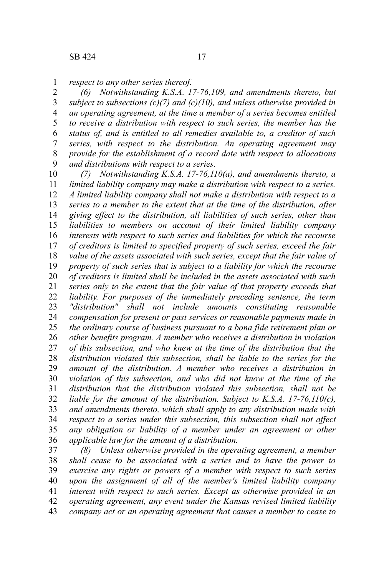*respect to any other series thereof.* 1

*(6) Notwithstanding K.S.A. 17-76,109, and amendments thereto, but subject to subsections (c)(7) and (c)(10), and unless otherwise provided in an operating agreement, at the time a member of a series becomes entitled to receive a distribution with respect to such series, the member has the status of, and is entitled to all remedies available to, a creditor of such series, with respect to the distribution. An operating agreement may provide for the establishment of a record date with respect to allocations and distributions with respect to a series.* 2 3 4 5 6 7 8 9

*(7) Notwithstanding K.S.A. 17-76,110(a), and amendments thereto, a limited liability company may make a distribution with respect to a series. A limited liability company shall not make a distribution with respect to a series to a member to the extent that at the time of the distribution, after giving effect to the distribution, all liabilities of such series, other than liabilities to members on account of their limited liability company interests with respect to such series and liabilities for which the recourse of creditors is limited to specified property of such series, exceed the fair value of the assets associated with such series, except that the fair value of property of such series that is subject to a liability for which the recourse of creditors is limited shall be included in the assets associated with such series only to the extent that the fair value of that property exceeds that liability. For purposes of the immediately preceding sentence, the term "distribution" shall not include amounts constituting reasonable compensation for present or past services or reasonable payments made in the ordinary course of business pursuant to a bona fide retirement plan or other benefits program. A member who receives a distribution in violation of this subsection, and who knew at the time of the distribution that the distribution violated this subsection, shall be liable to the series for the amount of the distribution. A member who receives a distribution in violation of this subsection, and who did not know at the time of the distribution that the distribution violated this subsection, shall not be liable for the amount of the distribution. Subject to K.S.A. 17-76,110(c), and amendments thereto, which shall apply to any distribution made with respect to a series under this subsection, this subsection shall not affect any obligation or liability of a member under an agreement or other applicable law for the amount of a distribution.* 10 11 12 13 14 15 16 17 18 19 20 21 22 23 24 25 26 27 28 29 30 31 32 33 34 35 36

*(8) Unless otherwise provided in the operating agreement, a member shall cease to be associated with a series and to have the power to exercise any rights or powers of a member with respect to such series upon the assignment of all of the member's limited liability company interest with respect to such series. Except as otherwise provided in an operating agreement, any event under the Kansas revised limited liability company act or an operating agreement that causes a member to cease to* 37 38 39 40 41 42 43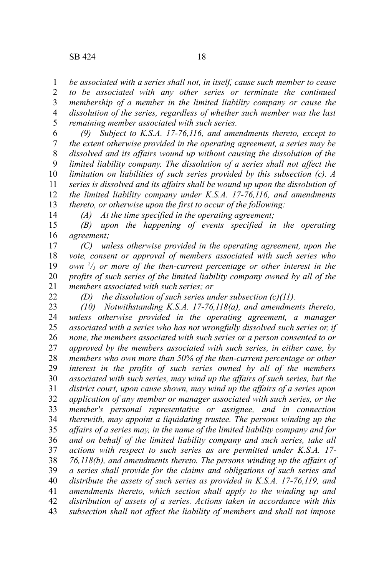22

*be associated with a series shall not, in itself, cause such member to cease to be associated with any other series or terminate the continued membership of a member in the limited liability company or cause the dissolution of the series, regardless of whether such member was the last remaining member associated with such series.* 1 2 3 4 5

*(9) Subject to K.S.A. 17-76,116, and amendments thereto, except to the extent otherwise provided in the operating agreement, a series may be dissolved and its affairs wound up without causing the dissolution of the limited liability company. The dissolution of a series shall not affect the limitation on liabilities of such series provided by this subsection (c). A series is dissolved and its affairs shall be wound up upon the dissolution of the limited liability company under K.S.A. 17-76,116, and amendments thereto, or otherwise upon the first to occur of the following:* 6 7 8 9 10 11 12 13

*(A) At the time specified in the operating agreement; (B) upon the happening of events specified in the operating agreement;* 14 15 16

*(C) unless otherwise provided in the operating agreement, upon the vote, consent or approval of members associated with such series who own <sup>2</sup> /3 or more of the then-current percentage or other interest in the profits of such series of the limited liability company owned by all of the members associated with such series; or* 17 18 19 20 21

*(D) the dissolution of such series under subsection (c)(11).*

*(10) Notwithstanding K.S.A. 17-76,118(a), and amendments thereto, unless otherwise provided in the operating agreement, a manager associated with a series who has not wrongfully dissolved such series or, if none, the members associated with such series or a person consented to or approved by the members associated with such series, in either case, by members who own more than 50% of the then-current percentage or other interest in the profits of such series owned by all of the members associated with such series, may wind up the affairs of such series, but the district court, upon cause shown, may wind up the affairs of a series upon application of any member or manager associated with such series, or the member's personal representative or assignee, and in connection therewith, may appoint a liquidating trustee. The persons winding up the affairs of a series may, in the name of the limited liability company and for and on behalf of the limited liability company and such series, take all actions with respect to such series as are permitted under K.S.A. 17- 76,118(b), and amendments thereto. The persons winding up the affairs of a series shall provide for the claims and obligations of such series and distribute the assets of such series as provided in K.S.A. 17-76,119, and amendments thereto, which section shall apply to the winding up and distribution of assets of a series. Actions taken in accordance with this subsection shall not affect the liability of members and shall not impose* 23 24 25 26 27 28 29 30 31 32 33 34 35 36 37 38 39 40 41 42 43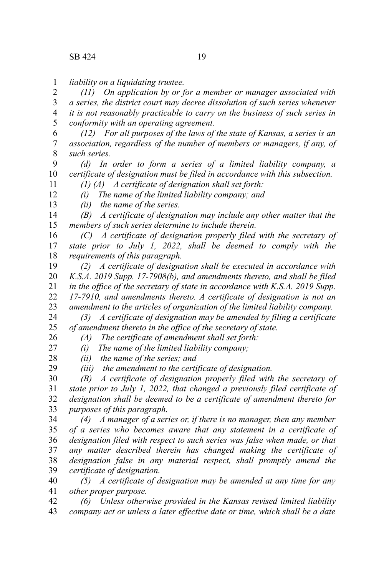*liability on a liquidating trustee.* 1

*(11) On application by or for a member or manager associated with a series, the district court may decree dissolution of such series whenever it is not reasonably practicable to carry on the business of such series in conformity with an operating agreement.* 2 3 4 5

*(12) For all purposes of the laws of the state of Kansas, a series is an association, regardless of the number of members or managers, if any, of such series.* 6 7 8

*(d) In order to form a series of a limited liability company, a certificate of designation must be filed in accordance with this subsection.* 9 10

*(1) (A) A certificate of designation shall set forth: (i) The name of the limited liability company; and*

11 12 13

26

*(ii) the name of the series.*

*(B) A certificate of designation may include any other matter that the members of such series determine to include therein.* 14 15

*(C) A certificate of designation properly filed with the secretary of state prior to July 1, 2022, shall be deemed to comply with the requirements of this paragraph.* 16 17 18

*(2) A certificate of designation shall be executed in accordance with K.S.A. 2019 Supp. 17-7908(b), and amendments thereto, and shall be filed in the office of the secretary of state in accordance with K.S.A. 2019 Supp. 17-7910, and amendments thereto. A certificate of designation is not an amendment to the articles of organization of the limited liability company.* 19 20 21 22 23

*(3) A certificate of designation may be amended by filing a certificate of amendment thereto in the office of the secretary of state.* 24 25

*(A) The certificate of amendment shall set forth:*

*(i) The name of the limited liability company;* 27

*(ii) the name of the series; and* 28

*(iii) the amendment to the certificate of designation.* 29

*(B) A certificate of designation properly filed with the secretary of state prior to July 1, 2022, that changed a previously filed certificate of designation shall be deemed to be a certificate of amendment thereto for purposes of this paragraph.* 30 31 32 33

*(4) A manager of a series or, if there is no manager, then any member of a series who becomes aware that any statement in a certificate of designation filed with respect to such series was false when made, or that any matter described therein has changed making the certificate of designation false in any material respect, shall promptly amend the certificate of designation.* 34 35 36 37 38 39

*(5) A certificate of designation may be amended at any time for any other proper purpose.* 40 41

*(6) Unless otherwise provided in the Kansas revised limited liability company act or unless a later effective date or time, which shall be a date* 42 43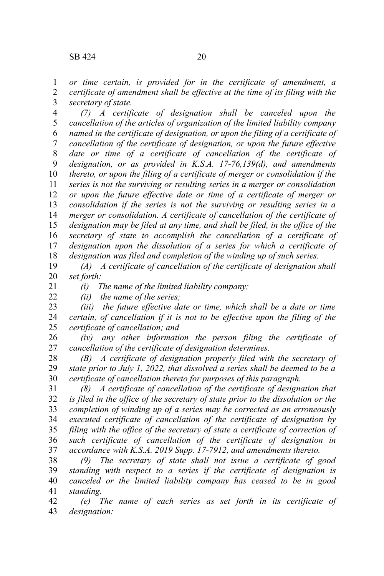*or time certain, is provided for in the certificate of amendment, a certificate of amendment shall be effective at the time of its filing with the secretary of state.* 1 2 3

*(7) A certificate of designation shall be canceled upon the cancellation of the articles of organization of the limited liability company named in the certificate of designation, or upon the filing of a certificate of cancellation of the certificate of designation, or upon the future effective date or time of a certificate of cancellation of the certificate of designation, or as provided in K.S.A. 17-76,139(d), and amendments thereto, or upon the filing of a certificate of merger or consolidation if the series is not the surviving or resulting series in a merger or consolidation or upon the future effective date or time of a certificate of merger or consolidation if the series is not the surviving or resulting series in a merger or consolidation. A certificate of cancellation of the certificate of designation may be filed at any time, and shall be filed, in the office of the secretary of state to accomplish the cancellation of a certificate of designation upon the dissolution of a series for which a certificate of designation was filed and completion of the winding up of such series.* 4 5 6 7 8 9 10 11 12 13 14 15 16 17 18

*(A) A certificate of cancellation of the certificate of designation shall set forth:* 19 20

*(i) The name of the limited liability company;*

21 22

*(ii) the name of the series;*

*(iii) the future effective date or time, which shall be a date or time certain, of cancellation if it is not to be effective upon the filing of the certificate of cancellation; and* 23 24 25

*(iv) any other information the person filing the certificate of cancellation of the certificate of designation determines.* 26 27

*(B) A certificate of designation properly filed with the secretary of state prior to July 1, 2022, that dissolved a series shall be deemed to be a certificate of cancellation thereto for purposes of this paragraph.* 28 29 30

*(8) A certificate of cancellation of the certificate of designation that is filed in the office of the secretary of state prior to the dissolution or the completion of winding up of a series may be corrected as an erroneously executed certificate of cancellation of the certificate of designation by filing with the office of the secretary of state a certificate of correction of such certificate of cancellation of the certificate of designation in accordance with K.S.A. 2019 Supp. 17-7912, and amendments thereto.* 31 32 33 34 35 36 37

*(9) The secretary of state shall not issue a certificate of good standing with respect to a series if the certificate of designation is canceled or the limited liability company has ceased to be in good standing.* 38 39 40 41

*(e) The name of each series as set forth in its certificate of designation:* 42 43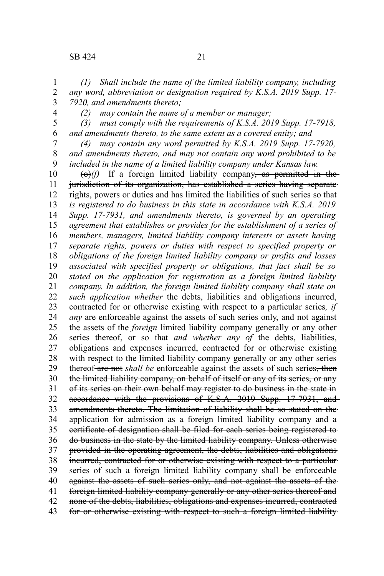*(1) Shall include the name of the limited liability company, including any word, abbreviation or designation required by K.S.A. 2019 Supp. 17- 7920, and amendments thereto;* 1 2 3

4 5 *(2) may contain the name of a member or manager;*

*(3) must comply with the requirements of K.S.A. 2019 Supp. 17-7918, and amendments thereto, to the same extent as a covered entity; and* 6

*(4) may contain any word permitted by K.S.A. 2019 Supp. 17-7920, and amendments thereto, and may not contain any word prohibited to be included in the name of a limited liability company under Kansas law.* 7 8 9

 $\left(\frac{\Theta}{f}\right)$  If a foreign limited liability company, as permitted in the jurisdiction of its organization, has established a series having separaterights, powers or duties and has limited the liabilities of such series so that *is registered to do business in this state in accordance with K.S.A. 2019 Supp. 17-7931, and amendments thereto, is governed by an operating agreement that establishes or provides for the establishment of a series of members, managers, limited liability company interests or assets having separate rights, powers or duties with respect to specified property or obligations of the foreign limited liability company or profits and losses associated with specified property or obligations, that fact shall be so stated on the application for registration as a foreign limited liability company. In addition, the foreign limited liability company shall state on such application whether* the debts, liabilities and obligations incurred, contracted for or otherwise existing with respect to a particular series*, if any* are enforceable against the assets of such series only, and not against the assets of the *foreign* limited liability company generally or any other series thereof, or so that *and whether any of* the debts, liabilities, obligations and expenses incurred, contracted for or otherwise existing with respect to the limited liability company generally or any other series thereof-are not *shall be* enforceable against the assets of such series, then the limited liability company, on behalf of itself or any of its series, or any of its series on their own behalf may register to do business in the state in accordance with the provisions of K.S.A. 2019 Supp. 17-7931, andamendments thereto. The limitation of liability shall be so stated on the application for admission as a foreign limited liability company and a certificate of designation shall be filed for each series being registered to do business in the state by the limited liability company. Unless otherwise provided in the operating agreement, the debts, liabilities and obligations incurred, contracted for or otherwise existing with respect to a particular series of such a foreign limited liability company shall be enforceableagainst the assets of such series only, and not against the assets of the foreign limited liability company generally or any other series thereof and none of the debts, liabilities, obligations and expenses incurred, contracted for or otherwise existing with respect to such a foreign limited liability 10 11 12 13 14 15 16 17 18 19 20 21 22 23 24 25 26 27 28 29 30 31 32 33 34 35 36 37 38 39 40 41 42 43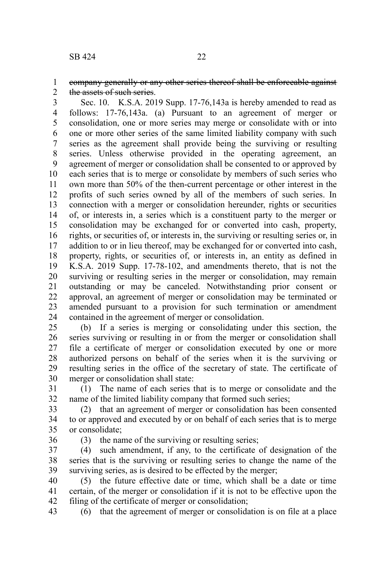#### company generally or any other series thereof shall be enforceable against the assets of such series. 1 2

Sec. 10. K.S.A. 2019 Supp. 17-76,143a is hereby amended to read as follows: 17-76,143a. (a) Pursuant to an agreement of merger or consolidation, one or more series may merge or consolidate with or into one or more other series of the same limited liability company with such series as the agreement shall provide being the surviving or resulting series. Unless otherwise provided in the operating agreement, an agreement of merger or consolidation shall be consented to or approved by each series that is to merge or consolidate by members of such series who own more than 50% of the then-current percentage or other interest in the profits of such series owned by all of the members of such series. In connection with a merger or consolidation hereunder, rights or securities of, or interests in, a series which is a constituent party to the merger or consolidation may be exchanged for or converted into cash, property, rights, or securities of, or interests in, the surviving or resulting series or, in addition to or in lieu thereof, may be exchanged for or converted into cash, property, rights, or securities of, or interests in, an entity as defined in K.S.A. 2019 Supp. 17-78-102, and amendments thereto, that is not the surviving or resulting series in the merger or consolidation, may remain outstanding or may be canceled. Notwithstanding prior consent or approval, an agreement of merger or consolidation may be terminated or amended pursuant to a provision for such termination or amendment contained in the agreement of merger or consolidation. 3 4 5 6 7 8 9 10 11 12 13 14 15 16 17 18 19 20 21 22 23 24

(b) If a series is merging or consolidating under this section, the series surviving or resulting in or from the merger or consolidation shall file a certificate of merger or consolidation executed by one or more authorized persons on behalf of the series when it is the surviving or resulting series in the office of the secretary of state. The certificate of merger or consolidation shall state: 25 26 27 28 29 30

(1) The name of each series that is to merge or consolidate and the name of the limited liability company that formed such series; 31 32

(2) that an agreement of merger or consolidation has been consented to or approved and executed by or on behalf of each series that is to merge or consolidate; 33 34 35

36

(3) the name of the surviving or resulting series;

(4) such amendment, if any, to the certificate of designation of the series that is the surviving or resulting series to change the name of the surviving series, as is desired to be effected by the merger; 37 38 39

(5) the future effective date or time, which shall be a date or time certain, of the merger or consolidation if it is not to be effective upon the filing of the certificate of merger or consolidation; 40 41 42

(6) that the agreement of merger or consolidation is on file at a place 43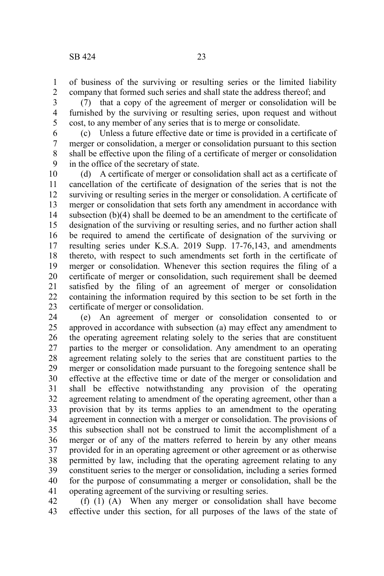of business of the surviving or resulting series or the limited liability company that formed such series and shall state the address thereof; and 1 2

(7) that a copy of the agreement of merger or consolidation will be furnished by the surviving or resulting series, upon request and without cost, to any member of any series that is to merge or consolidate. 3 4 5

(c) Unless a future effective date or time is provided in a certificate of merger or consolidation, a merger or consolidation pursuant to this section shall be effective upon the filing of a certificate of merger or consolidation in the office of the secretary of state. 6 7 8 9

(d) A certificate of merger or consolidation shall act as a certificate of cancellation of the certificate of designation of the series that is not the surviving or resulting series in the merger or consolidation. A certificate of merger or consolidation that sets forth any amendment in accordance with subsection (b)(4) shall be deemed to be an amendment to the certificate of designation of the surviving or resulting series, and no further action shall be required to amend the certificate of designation of the surviving or resulting series under K.S.A. 2019 Supp. 17-76,143, and amendments thereto, with respect to such amendments set forth in the certificate of merger or consolidation. Whenever this section requires the filing of a certificate of merger or consolidation, such requirement shall be deemed satisfied by the filing of an agreement of merger or consolidation containing the information required by this section to be set forth in the certificate of merger or consolidation. 10 11 12 13 14 15 16 17 18 19 20 21 22 23

(e) An agreement of merger or consolidation consented to or approved in accordance with subsection (a) may effect any amendment to the operating agreement relating solely to the series that are constituent parties to the merger or consolidation. Any amendment to an operating agreement relating solely to the series that are constituent parties to the merger or consolidation made pursuant to the foregoing sentence shall be effective at the effective time or date of the merger or consolidation and shall be effective notwithstanding any provision of the operating agreement relating to amendment of the operating agreement, other than a provision that by its terms applies to an amendment to the operating agreement in connection with a merger or consolidation. The provisions of this subsection shall not be construed to limit the accomplishment of a merger or of any of the matters referred to herein by any other means provided for in an operating agreement or other agreement or as otherwise permitted by law, including that the operating agreement relating to any constituent series to the merger or consolidation, including a series formed for the purpose of consummating a merger or consolidation, shall be the operating agreement of the surviving or resulting series. 24 25 26 27 28 29 30 31 32 33 34 35 36 37 38 39 40 41

(f) (1) (A) When any merger or consolidation shall have become effective under this section, for all purposes of the laws of the state of 42 43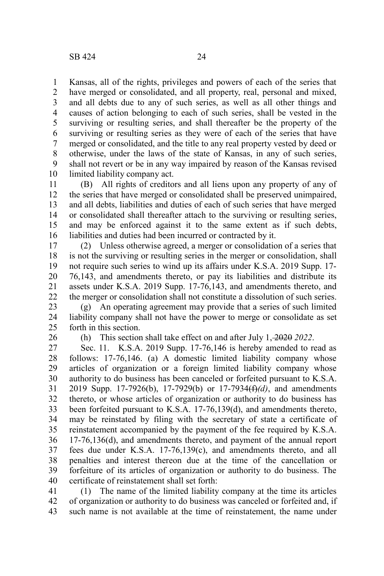Kansas, all of the rights, privileges and powers of each of the series that have merged or consolidated, and all property, real, personal and mixed, and all debts due to any of such series, as well as all other things and causes of action belonging to each of such series, shall be vested in the surviving or resulting series, and shall thereafter be the property of the surviving or resulting series as they were of each of the series that have merged or consolidated, and the title to any real property vested by deed or otherwise, under the laws of the state of Kansas, in any of such series, shall not revert or be in any way impaired by reason of the Kansas revised limited liability company act. 1 2 3 4 5 6 7 8 9 10

(B) All rights of creditors and all liens upon any property of any of the series that have merged or consolidated shall be preserved unimpaired, and all debts, liabilities and duties of each of such series that have merged or consolidated shall thereafter attach to the surviving or resulting series, and may be enforced against it to the same extent as if such debts, liabilities and duties had been incurred or contracted by it. 11 12 13 14 15 16

(2) Unless otherwise agreed, a merger or consolidation of a series that is not the surviving or resulting series in the merger or consolidation, shall not require such series to wind up its affairs under K.S.A. 2019 Supp. 17- 76,143, and amendments thereto, or pay its liabilities and distribute its assets under K.S.A. 2019 Supp. 17-76,143, and amendments thereto, and the merger or consolidation shall not constitute a dissolution of such series. 17 18 19 20 21 22

(g) An operating agreement may provide that a series of such limited liability company shall not have the power to merge or consolidate as set forth in this section. 23 24 25

26

(h) This section shall take effect on and after July 1, 2020 *2022*.

Sec. 11. K.S.A. 2019 Supp. 17-76,146 is hereby amended to read as follows: 17-76,146. (a) A domestic limited liability company whose articles of organization or a foreign limited liability company whose authority to do business has been canceled or forfeited pursuant to K.S.A. 2019 Supp. 17-7926(b), 17-7929(b) or 17-7934(f)*(d)*, and amendments thereto, or whose articles of organization or authority to do business has been forfeited pursuant to K.S.A. 17-76,139(d), and amendments thereto, may be reinstated by filing with the secretary of state a certificate of reinstatement accompanied by the payment of the fee required by K.S.A. 17-76,136(d), and amendments thereto, and payment of the annual report fees due under K.S.A. 17-76,139(c), and amendments thereto, and all penalties and interest thereon due at the time of the cancellation or forfeiture of its articles of organization or authority to do business. The certificate of reinstatement shall set forth: 27 28 29 30 31 32 33 34 35 36 37 38 39 40

(1) The name of the limited liability company at the time its articles of organization or authority to do business was canceled or forfeited and, if such name is not available at the time of reinstatement, the name under 41 42 43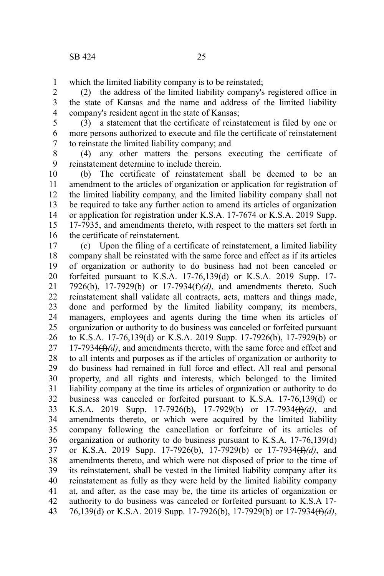which the limited liability company is to be reinstated; 1

(2) the address of the limited liability company's registered office in the state of Kansas and the name and address of the limited liability company's resident agent in the state of Kansas; 2 3 4

5

(3) a statement that the certificate of reinstatement is filed by one or more persons authorized to execute and file the certificate of reinstatement to reinstate the limited liability company; and 6 7

(4) any other matters the persons executing the certificate of reinstatement determine to include therein. 8 9

(b) The certificate of reinstatement shall be deemed to be an amendment to the articles of organization or application for registration of the limited liability company, and the limited liability company shall not be required to take any further action to amend its articles of organization or application for registration under K.S.A. 17-7674 or K.S.A. 2019 Supp. 17-7935, and amendments thereto, with respect to the matters set forth in the certificate of reinstatement. 10 11 12 13 14 15 16

(c) Upon the filing of a certificate of reinstatement, a limited liability company shall be reinstated with the same force and effect as if its articles of organization or authority to do business had not been canceled or forfeited pursuant to K.S.A. 17-76,139(d) or K.S.A. 2019 Supp. 17- 7926(b), 17-7929(b) or 17-7934(f)*(d)*, and amendments thereto. Such reinstatement shall validate all contracts, acts, matters and things made, done and performed by the limited liability company, its members, managers, employees and agents during the time when its articles of organization or authority to do business was canceled or forfeited pursuant to K.S.A. 17-76,139(d) or K.S.A. 2019 Supp. 17-7926(b), 17-7929(b) or 17-7934(f)*(d)*, and amendments thereto, with the same force and effect and to all intents and purposes as if the articles of organization or authority to do business had remained in full force and effect. All real and personal property, and all rights and interests, which belonged to the limited liability company at the time its articles of organization or authority to do business was canceled or forfeited pursuant to K.S.A. 17-76,139(d) or K.S.A. 2019 Supp. 17-7926(b), 17-7929(b) or 17-7934(f)*(d)*, and amendments thereto, or which were acquired by the limited liability company following the cancellation or forfeiture of its articles of organization or authority to do business pursuant to K.S.A. 17-76,139(d) or K.S.A. 2019 Supp. 17-7926(b), 17-7929(b) or 17-7934(f)*(d)*, and amendments thereto, and which were not disposed of prior to the time of its reinstatement, shall be vested in the limited liability company after its reinstatement as fully as they were held by the limited liability company at, and after, as the case may be, the time its articles of organization or authority to do business was canceled or forfeited pursuant to K.S.A 17- 76,139(d) or K.S.A. 2019 Supp. 17-7926(b), 17-7929(b) or 17-7934(f)*(d)*, 17 18 19 20 21 22 23 24 25 26 27 28 29 30 31 32 33 34 35 36 37 38 39 40 41 42 43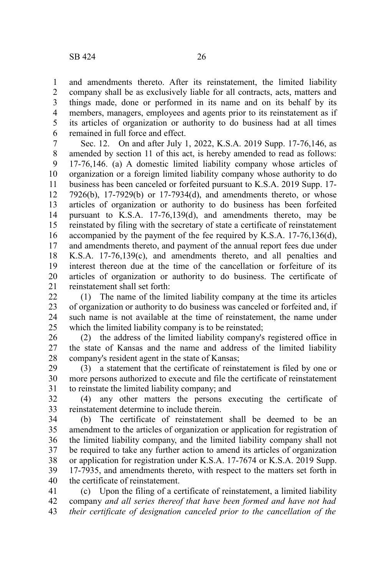and amendments thereto. After its reinstatement, the limited liability company shall be as exclusively liable for all contracts, acts, matters and things made, done or performed in its name and on its behalf by its members, managers, employees and agents prior to its reinstatement as if its articles of organization or authority to do business had at all times remained in full force and effect. 1 2 3 4 5 6

Sec. 12. On and after July 1, 2022, K.S.A. 2019 Supp. 17-76,146, as amended by section 11 of this act, is hereby amended to read as follows: 17-76,146. (a) A domestic limited liability company whose articles of organization or a foreign limited liability company whose authority to do business has been canceled or forfeited pursuant to K.S.A. 2019 Supp. 17- 7926(b), 17-7929(b) or 17-7934(d), and amendments thereto, or whose articles of organization or authority to do business has been forfeited pursuant to K.S.A. 17-76,139(d), and amendments thereto, may be reinstated by filing with the secretary of state a certificate of reinstatement accompanied by the payment of the fee required by K.S.A. 17-76,136(d), and amendments thereto, and payment of the annual report fees due under K.S.A. 17-76,139(c), and amendments thereto, and all penalties and interest thereon due at the time of the cancellation or forfeiture of its articles of organization or authority to do business. The certificate of reinstatement shall set forth: 7 8 9 10 11 12 13 14 15 16 17 18 19 20 21

(1) The name of the limited liability company at the time its articles of organization or authority to do business was canceled or forfeited and, if such name is not available at the time of reinstatement, the name under which the limited liability company is to be reinstated; 22 23 24 25

(2) the address of the limited liability company's registered office in the state of Kansas and the name and address of the limited liability company's resident agent in the state of Kansas; 26 27 28

(3) a statement that the certificate of reinstatement is filed by one or more persons authorized to execute and file the certificate of reinstatement to reinstate the limited liability company; and 29 30 31

(4) any other matters the persons executing the certificate of reinstatement determine to include therein. 32 33

(b) The certificate of reinstatement shall be deemed to be an amendment to the articles of organization or application for registration of the limited liability company, and the limited liability company shall not be required to take any further action to amend its articles of organization or application for registration under K.S.A. 17-7674 or K.S.A. 2019 Supp. 17-7935, and amendments thereto, with respect to the matters set forth in the certificate of reinstatement. 34 35 36 37 38 39 40

(c) Upon the filing of a certificate of reinstatement, a limited liability company *and all series thereof that have been formed and have not had their certificate of designation canceled prior to the cancellation of the* 41 42 43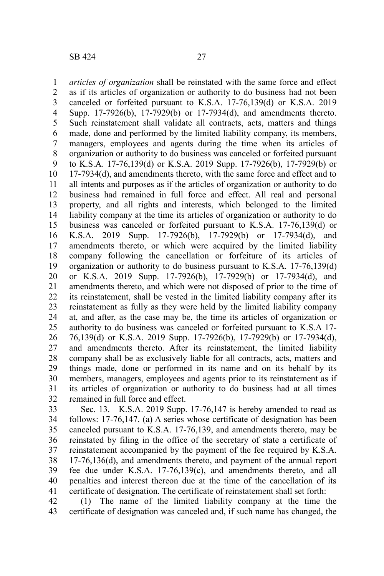*articles of organization* shall be reinstated with the same force and effect as if its articles of organization or authority to do business had not been canceled or forfeited pursuant to K.S.A. 17-76,139(d) or K.S.A. 2019 Supp. 17-7926(b), 17-7929(b) or 17-7934(d), and amendments thereto. Such reinstatement shall validate all contracts, acts, matters and things made, done and performed by the limited liability company, its members, managers, employees and agents during the time when its articles of organization or authority to do business was canceled or forfeited pursuant to K.S.A. 17-76,139(d) or K.S.A. 2019 Supp. 17-7926(b), 17-7929(b) or 17-7934(d), and amendments thereto, with the same force and effect and to all intents and purposes as if the articles of organization or authority to do business had remained in full force and effect. All real and personal property, and all rights and interests, which belonged to the limited liability company at the time its articles of organization or authority to do business was canceled or forfeited pursuant to K.S.A. 17-76,139(d) or K.S.A. 2019 Supp. 17-7926(b), 17-7929(b) or 17-7934(d), and amendments thereto, or which were acquired by the limited liability company following the cancellation or forfeiture of its articles of organization or authority to do business pursuant to K.S.A. 17-76,139(d) or K.S.A. 2019 Supp. 17-7926(b), 17-7929(b) or 17-7934(d), and amendments thereto, and which were not disposed of prior to the time of its reinstatement, shall be vested in the limited liability company after its reinstatement as fully as they were held by the limited liability company at, and after, as the case may be, the time its articles of organization or authority to do business was canceled or forfeited pursuant to K.S.A 17- 76,139(d) or K.S.A. 2019 Supp. 17-7926(b), 17-7929(b) or 17-7934(d), and amendments thereto. After its reinstatement, the limited liability company shall be as exclusively liable for all contracts, acts, matters and things made, done or performed in its name and on its behalf by its members, managers, employees and agents prior to its reinstatement as if its articles of organization or authority to do business had at all times remained in full force and effect. 1 2 3 4 5 6 7 8 9 10 11 12 13 14 15 16 17 18 19 20 21 22 23 24 25 26 27 28 29 30 31 32

Sec. 13. K.S.A. 2019 Supp. 17-76,147 is hereby amended to read as follows: 17-76,147. (a) A series whose certificate of designation has been canceled pursuant to K.S.A. 17-76,139, and amendments thereto, may be reinstated by filing in the office of the secretary of state a certificate of reinstatement accompanied by the payment of the fee required by K.S.A. 17-76,136(d), and amendments thereto, and payment of the annual report fee due under K.S.A. 17-76,139(c), and amendments thereto, and all penalties and interest thereon due at the time of the cancellation of its certificate of designation. The certificate of reinstatement shall set forth: 33 34 35 36 37 38 39 40 41

(1) The name of the limited liability company at the time the certificate of designation was canceled and, if such name has changed, the 42 43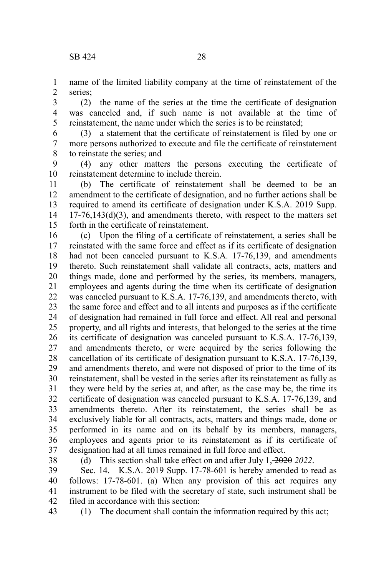name of the limited liability company at the time of reinstatement of the series; 1 2

(2) the name of the series at the time the certificate of designation was canceled and, if such name is not available at the time of reinstatement, the name under which the series is to be reinstated; 3 4 5

(3) a statement that the certificate of reinstatement is filed by one or more persons authorized to execute and file the certificate of reinstatement to reinstate the series; and 6 7 8

(4) any other matters the persons executing the certificate of reinstatement determine to include therein. 9 10

(b) The certificate of reinstatement shall be deemed to be an amendment to the certificate of designation, and no further actions shall be required to amend its certificate of designation under K.S.A. 2019 Supp.  $17-76,143(d)(3)$ , and amendments thereto, with respect to the matters set forth in the certificate of reinstatement. 11 12 13 14 15

(c) Upon the filing of a certificate of reinstatement, a series shall be reinstated with the same force and effect as if its certificate of designation had not been canceled pursuant to K.S.A. 17-76,139, and amendments thereto. Such reinstatement shall validate all contracts, acts, matters and things made, done and performed by the series, its members, managers, employees and agents during the time when its certificate of designation was canceled pursuant to K.S.A. 17-76,139, and amendments thereto, with the same force and effect and to all intents and purposes as if the certificate of designation had remained in full force and effect. All real and personal property, and all rights and interests, that belonged to the series at the time its certificate of designation was canceled pursuant to K.S.A. 17-76,139, and amendments thereto, or were acquired by the series following the cancellation of its certificate of designation pursuant to K.S.A. 17-76,139, and amendments thereto, and were not disposed of prior to the time of its reinstatement, shall be vested in the series after its reinstatement as fully as they were held by the series at, and after, as the case may be, the time its certificate of designation was canceled pursuant to K.S.A. 17-76,139, and amendments thereto. After its reinstatement, the series shall be as exclusively liable for all contracts, acts, matters and things made, done or performed in its name and on its behalf by its members, managers, employees and agents prior to its reinstatement as if its certificate of designation had at all times remained in full force and effect. 16 17 18 19 20 21 22 23 24 25 26 27 28 29 30 31 32 33 34 35 36 37

38

(d) This section shall take effect on and after July 1, 2020 *2022*.

Sec. 14. K.S.A. 2019 Supp. 17-78-601 is hereby amended to read as follows: 17-78-601. (a) When any provision of this act requires any instrument to be filed with the secretary of state, such instrument shall be filed in accordance with this section: 39 40 41 42

43

(1) The document shall contain the information required by this act;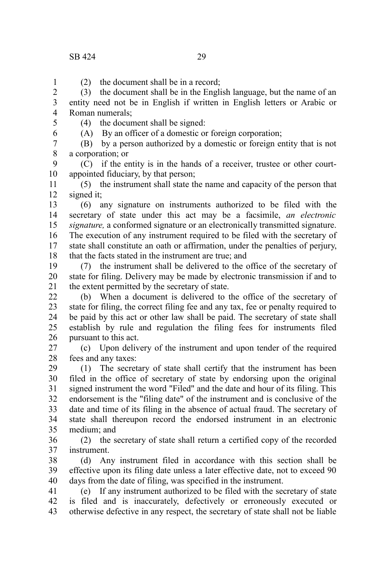### SB 424 29

(2) the document shall be in a record; 1

(3) the document shall be in the English language, but the name of an entity need not be in English if written in English letters or Arabic or Roman numerals; 2 3 4

5 6 (4) the document shall be signed:

(A) By an officer of a domestic or foreign corporation;

(B) by a person authorized by a domestic or foreign entity that is not a corporation; or 7 8

(C) if the entity is in the hands of a receiver, trustee or other courtappointed fiduciary, by that person; 9 10

(5) the instrument shall state the name and capacity of the person that signed it; 11 12

(6) any signature on instruments authorized to be filed with the secretary of state under this act may be a facsimile, *an electronic signature,* a conformed signature or an electronically transmitted signature. The execution of any instrument required to be filed with the secretary of state shall constitute an oath or affirmation, under the penalties of perjury, that the facts stated in the instrument are true; and 13 14 15 16 17 18

(7) the instrument shall be delivered to the office of the secretary of state for filing. Delivery may be made by electronic transmission if and to the extent permitted by the secretary of state. 19 20 21

(b) When a document is delivered to the office of the secretary of state for filing, the correct filing fee and any tax, fee or penalty required to be paid by this act or other law shall be paid. The secretary of state shall establish by rule and regulation the filing fees for instruments filed pursuant to this act. 22 23 24 25 26

(c) Upon delivery of the instrument and upon tender of the required fees and any taxes: 27 28

(1) The secretary of state shall certify that the instrument has been filed in the office of secretary of state by endorsing upon the original signed instrument the word "Filed" and the date and hour of its filing. This endorsement is the "filing date" of the instrument and is conclusive of the date and time of its filing in the absence of actual fraud. The secretary of state shall thereupon record the endorsed instrument in an electronic medium; and 29 30 31 32 33 34 35

(2) the secretary of state shall return a certified copy of the recorded instrument. 36 37

(d) Any instrument filed in accordance with this section shall be effective upon its filing date unless a later effective date, not to exceed 90 days from the date of filing, was specified in the instrument. 38 39 40

(e) If any instrument authorized to be filed with the secretary of state is filed and is inaccurately, defectively or erroneously executed or otherwise defective in any respect, the secretary of state shall not be liable 41 42 43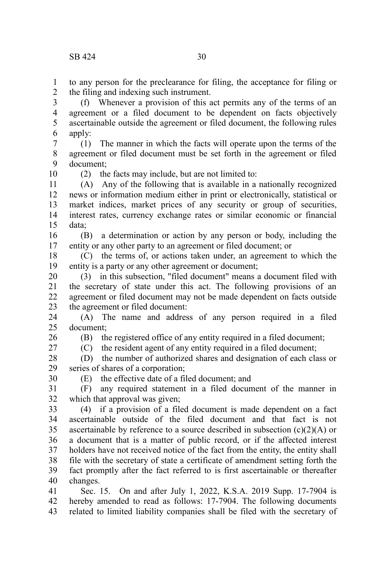to any person for the preclearance for filing, the acceptance for filing or the filing and indexing such instrument. 1  $\mathcal{L}$ 

(f) Whenever a provision of this act permits any of the terms of an agreement or a filed document to be dependent on facts objectively ascertainable outside the agreement or filed document, the following rules apply: 3 4 5 6

(1) The manner in which the facts will operate upon the terms of the agreement or filed document must be set forth in the agreement or filed document; 7 8 9

10

(2) the facts may include, but are not limited to:

(A) Any of the following that is available in a nationally recognized news or information medium either in print or electronically, statistical or market indices, market prices of any security or group of securities, interest rates, currency exchange rates or similar economic or financial data; 11 12 13 14 15

(B) a determination or action by any person or body, including the entity or any other party to an agreement or filed document; or 16 17

(C) the terms of, or actions taken under, an agreement to which the entity is a party or any other agreement or document; 18 19

(3) in this subsection, "filed document" means a document filed with the secretary of state under this act. The following provisions of an agreement or filed document may not be made dependent on facts outside the agreement or filed document: 20 21 22 23

(A) The name and address of any person required in a filed document; 24  $25$ 

26

(B) the registered office of any entity required in a filed document;

27

(C) the resident agent of any entity required in a filed document;

(D) the number of authorized shares and designation of each class or series of shares of a corporation; 28 29

30

(E) the effective date of a filed document; and

(F) any required statement in a filed document of the manner in which that approval was given; 31 32

(4) if a provision of a filed document is made dependent on a fact ascertainable outside of the filed document and that fact is not ascertainable by reference to a source described in subsection  $(c)(2)(A)$  or a document that is a matter of public record, or if the affected interest holders have not received notice of the fact from the entity, the entity shall file with the secretary of state a certificate of amendment setting forth the fact promptly after the fact referred to is first ascertainable or thereafter changes. 33 34 35 36 37 38 39 40

Sec. 15. On and after July 1, 2022, K.S.A. 2019 Supp. 17-7904 is hereby amended to read as follows: 17-7904. The following documents related to limited liability companies shall be filed with the secretary of 41 42 43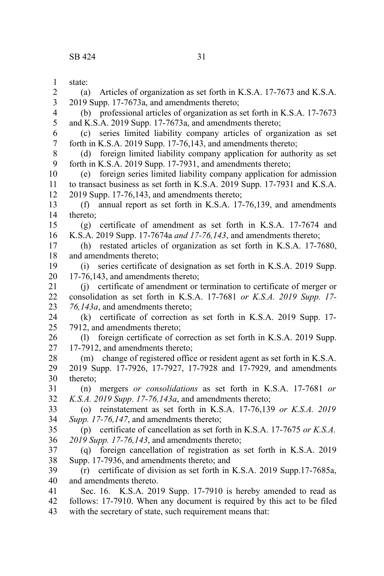state: (a) Articles of organization as set forth in K.S.A. 17-7673 and K.S.A. 2019 Supp. 17-7673a, and amendments thereto; (b) professional articles of organization as set forth in K.S.A. 17-7673 and K.S.A. 2019 Supp. 17-7673a, and amendments thereto; (c) series limited liability company articles of organization as set forth in K.S.A. 2019 Supp. 17-76,143, and amendments thereto; (d) foreign limited liability company application for authority as set forth in K.S.A. 2019 Supp. 17-7931, and amendments thereto; (e) foreign series limited liability company application for admission to transact business as set forth in K.S.A. 2019 Supp. 17-7931 and K.S.A. 2019 Supp. 17-76,143, and amendments thereto; (f) annual report as set forth in K.S.A. 17-76,139, and amendments thereto; (g) certificate of amendment as set forth in K.S.A. 17-7674 and K.S.A. 2019 Supp. 17-7674a *and 17-76,143*, and amendments thereto; (h) restated articles of organization as set forth in K.S.A. 17-7680, and amendments thereto; (i) series certificate of designation as set forth in K.S.A. 2019 Supp. 17-76,143, and amendments thereto; (j) certificate of amendment or termination to certificate of merger or consolidation as set forth in K.S.A. 17-7681 *or K.S.A. 2019 Supp. 17- 76,143a*, and amendments thereto; (k) certificate of correction as set forth in K.S.A. 2019 Supp. 17- 7912, and amendments thereto; (l) foreign certificate of correction as set forth in K.S.A. 2019 Supp. 17-7912, and amendments thereto; (m) change of registered office or resident agent as set forth in K.S.A. 2019 Supp. 17-7926, 17-7927, 17-7928 and 17-7929, and amendments thereto; (n) mergers *or consolidations* as set forth in K.S.A. 17-7681 *or K.S.A. 2019 Supp. 17-76,143a*, and amendments thereto; (o) reinstatement as set forth in K.S.A. 17-76,139 *or K.S.A. 2019 Supp. 17-76,147*, and amendments thereto; (p) certificate of cancellation as set forth in K.S.A. 17-7675 *or K.S.A. 2019 Supp. 17-76,143*, and amendments thereto; (q) foreign cancellation of registration as set forth in K.S.A. 2019 Supp. 17-7936, and amendments thereto; and (r) certificate of division as set forth in K.S.A. 2019 Supp.17-7685a, and amendments thereto. Sec. 16. K.S.A. 2019 Supp. 17-7910 is hereby amended to read as follows: 17-7910. When any document is required by this act to be filed with the secretary of state, such requirement means that: 1 2 3 4 5 6 7 8 9 10 11 12 13 14 15 16 17 18 19 20 21 22 23 24 25 26 27 28 29 30 31 32 33 34 35 36 37 38 39 40 41 42 43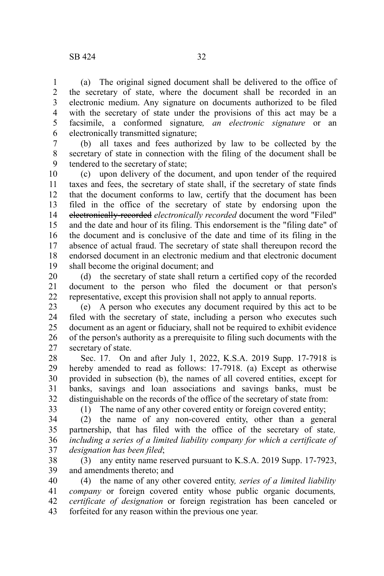(a) The original signed document shall be delivered to the office of the secretary of state, where the document shall be recorded in an electronic medium. Any signature on documents authorized to be filed with the secretary of state under the provisions of this act may be a facsimile, a conformed signature*, an electronic signature* or an electronically transmitted signature; 1 2 3 4 5 6

(b) all taxes and fees authorized by law to be collected by the secretary of state in connection with the filing of the document shall be tendered to the secretary of state; 7 8 9

(c) upon delivery of the document, and upon tender of the required taxes and fees, the secretary of state shall, if the secretary of state finds that the document conforms to law, certify that the document has been filed in the office of the secretary of state by endorsing upon the electronically-recorded *electronically recorded* document the word "Filed" and the date and hour of its filing. This endorsement is the "filing date" of the document and is conclusive of the date and time of its filing in the absence of actual fraud. The secretary of state shall thereupon record the endorsed document in an electronic medium and that electronic document shall become the original document; and 10 11 12 13 14 15 16 17 18 19

(d) the secretary of state shall return a certified copy of the recorded document to the person who filed the document or that person's representative, except this provision shall not apply to annual reports. 20 21 22

(e) A person who executes any document required by this act to be filed with the secretary of state, including a person who executes such document as an agent or fiduciary, shall not be required to exhibit evidence of the person's authority as a prerequisite to filing such documents with the secretary of state. 23 24 25 26 27

Sec. 17. On and after July 1, 2022, K.S.A. 2019 Supp. 17-7918 is hereby amended to read as follows: 17-7918. (a) Except as otherwise provided in subsection (b), the names of all covered entities, except for banks, savings and loan associations and savings banks, must be distinguishable on the records of the office of the secretary of state from: 28 29 30 31 32

33

(1) The name of any other covered entity or foreign covered entity;

(2) the name of any non-covered entity, other than a general partnership, that has filed with the office of the secretary of state*, including a series of a limited liability company for which a certificate of designation has been filed*; 34 35 36 37

(3) any entity name reserved pursuant to K.S.A. 2019 Supp. 17-7923, and amendments thereto; and 38 39

(4) the name of any other covered entity*, series of a limited liability company* or foreign covered entity whose public organic documents*, certificate of designation* or foreign registration has been canceled or forfeited for any reason within the previous one year. 40 41 42 43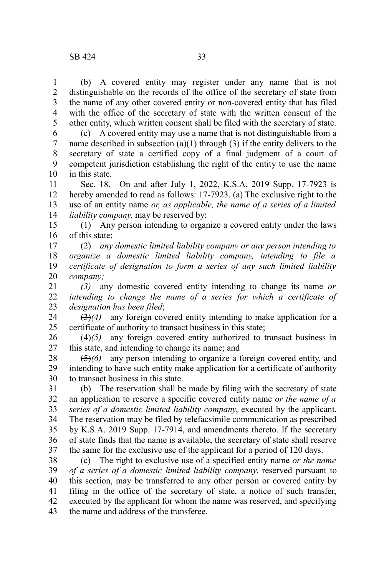(b) A covered entity may register under any name that is not distinguishable on the records of the office of the secretary of state from the name of any other covered entity or non-covered entity that has filed with the office of the secretary of state with the written consent of the other entity, which written consent shall be filed with the secretary of state. 1 2 3 4 5

(c) A covered entity may use a name that is not distinguishable from a name described in subsection (a)(1) through (3) if the entity delivers to the secretary of state a certified copy of a final judgment of a court of competent jurisdiction establishing the right of the entity to use the name in this state. 6 7 8 9 10

Sec. 18. On and after July 1, 2022, K.S.A. 2019 Supp. 17-7923 is hereby amended to read as follows: 17-7923. (a) The exclusive right to the use of an entity name *or, as applicable, the name of a series of a limited liability company,* may be reserved by: 11 12 13 14

(1) Any person intending to organize a covered entity under the laws of this state; 15 16

(2) *any domestic limited liability company or any person intending to organize a domestic limited liability company, intending to file a certificate of designation to form a series of any such limited liability company;* 17 18 19 20

*(3)* any domestic covered entity intending to change its name *or intending to change the name of a series for which a certificate of designation has been filed*; 21 22 23

(3)*(4)* any foreign covered entity intending to make application for a certificate of authority to transact business in this state; 24 25

(4)*(5)* any foreign covered entity authorized to transact business in this state, and intending to change its name; and 26 27

(5)*(6)* any person intending to organize a foreign covered entity, and intending to have such entity make application for a certificate of authority to transact business in this state. 28 29 30

(b) The reservation shall be made by filing with the secretary of state an application to reserve a specific covered entity name *or the name of a series of a domestic limited liability company*, executed by the applicant. The reservation may be filed by telefacsimile communication as prescribed by K.S.A. 2019 Supp. 17-7914, and amendments thereto. If the secretary of state finds that the name is available, the secretary of state shall reserve the same for the exclusive use of the applicant for a period of 120 days. 31 32 33 34 35 36 37

(c) The right to exclusive use of a specified entity name *or the name of a series of a domestic limited liability company*, reserved pursuant to this section, may be transferred to any other person or covered entity by filing in the office of the secretary of state, a notice of such transfer, executed by the applicant for whom the name was reserved, and specifying the name and address of the transferee. 38 39 40 41 42 43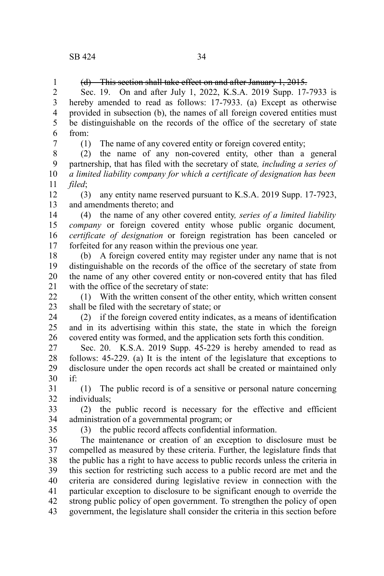(d) This section shall take effect on and after January 1, 2015.

Sec. 19. On and after July 1, 2022, K.S.A. 2019 Supp. 17-7933 is hereby amended to read as follows: 17-7933. (a) Except as otherwise provided in subsection (b), the names of all foreign covered entities must be distinguishable on the records of the office of the secretary of state from: 2 3 4 5 6

7

1

(1) The name of any covered entity or foreign covered entity;

(2) the name of any non-covered entity, other than a general partnership, that has filed with the secretary of state*, including a series of a limited liability company for which a certificate of designation has been filed*; 8 9 10 11

(3) any entity name reserved pursuant to K.S.A. 2019 Supp. 17-7923, and amendments thereto; and 12 13

(4) the name of any other covered entity*, series of a limited liability company* or foreign covered entity whose public organic document*, certificate of designation* or foreign registration has been canceled or forfeited for any reason within the previous one year. 14 15 16 17

(b) A foreign covered entity may register under any name that is not distinguishable on the records of the office of the secretary of state from the name of any other covered entity or non-covered entity that has filed with the office of the secretary of state: 18 19 20 21

(1) With the written consent of the other entity, which written consent shall be filed with the secretary of state; or 22 23

(2) if the foreign covered entity indicates, as a means of identification and in its advertising within this state, the state in which the foreign covered entity was formed, and the application sets forth this condition. 24 25 26

Sec. 20. K.S.A. 2019 Supp. 45-229 is hereby amended to read as follows: 45-229. (a) It is the intent of the legislature that exceptions to disclosure under the open records act shall be created or maintained only if: 27 28 29 30

(1) The public record is of a sensitive or personal nature concerning individuals; 31 32

(2) the public record is necessary for the effective and efficient administration of a governmental program; or 33 34

35

(3) the public record affects confidential information.

The maintenance or creation of an exception to disclosure must be compelled as measured by these criteria. Further, the legislature finds that the public has a right to have access to public records unless the criteria in this section for restricting such access to a public record are met and the criteria are considered during legislative review in connection with the particular exception to disclosure to be significant enough to override the strong public policy of open government. To strengthen the policy of open government, the legislature shall consider the criteria in this section before 36 37 38 39 40 41 42 43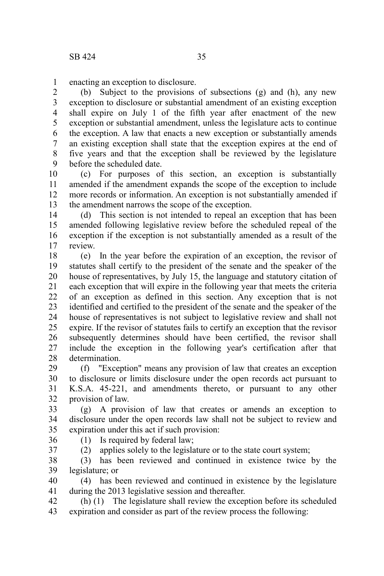enacting an exception to disclosure. 1

(b) Subject to the provisions of subsections (g) and (h), any new exception to disclosure or substantial amendment of an existing exception shall expire on July 1 of the fifth year after enactment of the new exception or substantial amendment, unless the legislature acts to continue the exception. A law that enacts a new exception or substantially amends an existing exception shall state that the exception expires at the end of five years and that the exception shall be reviewed by the legislature before the scheduled date. 2 3 4 5 6 7 8 9

(c) For purposes of this section, an exception is substantially amended if the amendment expands the scope of the exception to include more records or information. An exception is not substantially amended if the amendment narrows the scope of the exception. 10 11 12 13

(d) This section is not intended to repeal an exception that has been amended following legislative review before the scheduled repeal of the exception if the exception is not substantially amended as a result of the review. 14 15 16 17

(e) In the year before the expiration of an exception, the revisor of statutes shall certify to the president of the senate and the speaker of the house of representatives, by July 15, the language and statutory citation of each exception that will expire in the following year that meets the criteria of an exception as defined in this section. Any exception that is not identified and certified to the president of the senate and the speaker of the house of representatives is not subject to legislative review and shall not expire. If the revisor of statutes fails to certify an exception that the revisor subsequently determines should have been certified, the revisor shall include the exception in the following year's certification after that determination. 18 19 20 21 22 23 24 25 26 27 28

(f) "Exception" means any provision of law that creates an exception to disclosure or limits disclosure under the open records act pursuant to K.S.A. 45-221, and amendments thereto, or pursuant to any other provision of law. 29 30 31 32

(g) A provision of law that creates or amends an exception to disclosure under the open records law shall not be subject to review and expiration under this act if such provision: 33 34 35

36 37 (1) Is required by federal law;

(2) applies solely to the legislature or to the state court system;

(3) has been reviewed and continued in existence twice by the legislature; or 38 39

(4) has been reviewed and continued in existence by the legislature during the 2013 legislative session and thereafter. 40 41

(h) (1) The legislature shall review the exception before its scheduled expiration and consider as part of the review process the following: 42 43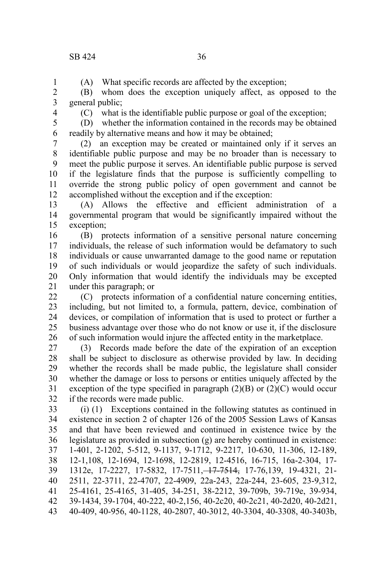(A) What specific records are affected by the exception;

(B) whom does the exception uniquely affect, as opposed to the general public; 2 3

4

1

(C) what is the identifiable public purpose or goal of the exception;

(D) whether the information contained in the records may be obtained readily by alternative means and how it may be obtained; 5 6

(2) an exception may be created or maintained only if it serves an identifiable public purpose and may be no broader than is necessary to meet the public purpose it serves. An identifiable public purpose is served if the legislature finds that the purpose is sufficiently compelling to override the strong public policy of open government and cannot be accomplished without the exception and if the exception: 7 8 9 10 11 12

(A) Allows the effective and efficient administration of a governmental program that would be significantly impaired without the exception; 13 14 15

(B) protects information of a sensitive personal nature concerning individuals, the release of such information would be defamatory to such individuals or cause unwarranted damage to the good name or reputation of such individuals or would jeopardize the safety of such individuals. Only information that would identify the individuals may be excepted under this paragraph; or 16 17 18 19 20 21

(C) protects information of a confidential nature concerning entities, including, but not limited to, a formula, pattern, device, combination of devices, or compilation of information that is used to protect or further a business advantage over those who do not know or use it, if the disclosure of such information would injure the affected entity in the marketplace. 22 23 24 25 26

(3) Records made before the date of the expiration of an exception shall be subject to disclosure as otherwise provided by law. In deciding whether the records shall be made public, the legislature shall consider whether the damage or loss to persons or entities uniquely affected by the exception of the type specified in paragraph  $(2)(B)$  or  $(2)(C)$  would occur if the records were made public. 27 28 29 30 31 32

(i) (1) Exceptions contained in the following statutes as continued in existence in section 2 of chapter 126 of the 2005 Session Laws of Kansas and that have been reviewed and continued in existence twice by the legislature as provided in subsection (g) are hereby continued in existence: 1-401, 2-1202, 5-512, 9-1137, 9-1712, 9-2217, 10-630, 11-306, 12-189, 12-1,108, 12-1694, 12-1698, 12-2819, 12-4516, 16-715, 16a-2-304, 17- 1312e, 17-2227, 17-5832, 17-7511, 17-7514, 17-76,139, 19-4321, 21- 2511, 22-3711, 22-4707, 22-4909, 22a-243, 22a-244, 23-605, 23-9,312, 25-4161, 25-4165, 31-405, 34-251, 38-2212, 39-709b, 39-719e, 39-934, 39-1434, 39-1704, 40-222, 40-2,156, 40-2c20, 40-2c21, 40-2d20, 40-2d21, 40-409, 40-956, 40-1128, 40-2807, 40-3012, 40-3304, 40-3308, 40-3403b, 33 34 35 36 37 38 39 40 41 42 43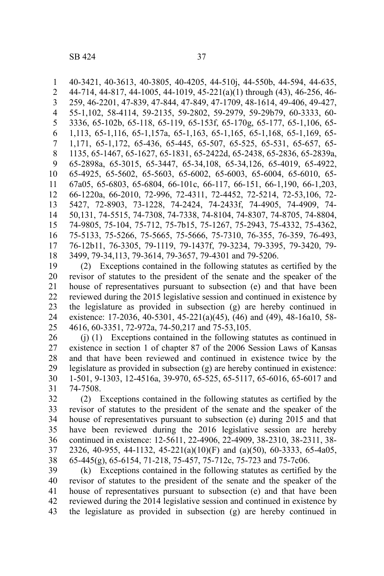40-3421, 40-3613, 40-3805, 40-4205, 44-510j, 44-550b, 44-594, 44-635, 44-714, 44-817, 44-1005, 44-1019, 45-221(a)(1) through (43), 46-256, 46- 259, 46-2201, 47-839, 47-844, 47-849, 47-1709, 48-1614, 49-406, 49-427, 55-1,102, 58-4114, 59-2135, 59-2802, 59-2979, 59-29b79, 60-3333, 60- 3336, 65-102b, 65-118, 65-119, 65-153f, 65-170g, 65-177, 65-1,106, 65- 1,113, 65-1,116, 65-1,157a, 65-1,163, 65-1,165, 65-1,168, 65-1,169, 65- 1,171, 65-1,172, 65-436, 65-445, 65-507, 65-525, 65-531, 65-657, 65- 1135, 65-1467, 65-1627, 65-1831, 65-2422d, 65-2438, 65-2836, 65-2839a, 65-2898a, 65-3015, 65-3447, 65-34,108, 65-34,126, 65-4019, 65-4922, 65-4925, 65-5602, 65-5603, 65-6002, 65-6003, 65-6004, 65-6010, 65- 67a05, 65-6803, 65-6804, 66-101c, 66-117, 66-151, 66-1,190, 66-1,203, 66-1220a, 66-2010, 72-996, 72-4311, 72-4452, 72-5214, 72-53,106, 72- 5427, 72-8903, 73-1228, 74-2424, 74-2433f, 74-4905, 74-4909, 74- 50,131, 74-5515, 74-7308, 74-7338, 74-8104, 74-8307, 74-8705, 74-8804, 74-9805, 75-104, 75-712, 75-7b15, 75-1267, 75-2943, 75-4332, 75-4362, 75-5133, 75-5266, 75-5665, 75-5666, 75-7310, 76-355, 76-359, 76-493, 76-12b11, 76-3305, 79-1119, 79-1437f, 79-3234, 79-3395, 79-3420, 79- 3499, 79-34,113, 79-3614, 79-3657, 79-4301 and 79-5206. 1 2 3 4 5 6 7 8 9 10 11 12 13 14 15 16 17 18

(2) Exceptions contained in the following statutes as certified by the revisor of statutes to the president of the senate and the speaker of the house of representatives pursuant to subsection (e) and that have been reviewed during the 2015 legislative session and continued in existence by the legislature as provided in subsection (g) are hereby continued in existence: 17-2036, 40-5301, 45-221(a)(45), (46) and (49), 48-16a10, 58- 4616, 60-3351, 72-972a, 74-50,217 and 75-53,105. 19 20 21 22 23 24 25

(j) (1) Exceptions contained in the following statutes as continued in existence in section 1 of chapter 87 of the 2006 Session Laws of Kansas and that have been reviewed and continued in existence twice by the legislature as provided in subsection (g) are hereby continued in existence: 1-501, 9-1303, 12-4516a, 39-970, 65-525, 65-5117, 65-6016, 65-6017 and 74-7508. 26 27 28 29 30 31

(2) Exceptions contained in the following statutes as certified by the revisor of statutes to the president of the senate and the speaker of the house of representatives pursuant to subsection (e) during 2015 and that have been reviewed during the 2016 legislative session are hereby continued in existence: 12-5611, 22-4906, 22-4909, 38-2310, 38-2311, 38- 2326, 40-955, 44-1132, 45-221(a)(10)(F) and (a)(50), 60-3333, 65-4a05, 65-445(g), 65-6154, 71-218, 75-457, 75-712c, 75-723 and 75-7c06. 32 33 34 35 36 37 38

(k) Exceptions contained in the following statutes as certified by the revisor of statutes to the president of the senate and the speaker of the house of representatives pursuant to subsection (e) and that have been reviewed during the 2014 legislative session and continued in existence by the legislature as provided in subsection (g) are hereby continued in 39 40 41 42 43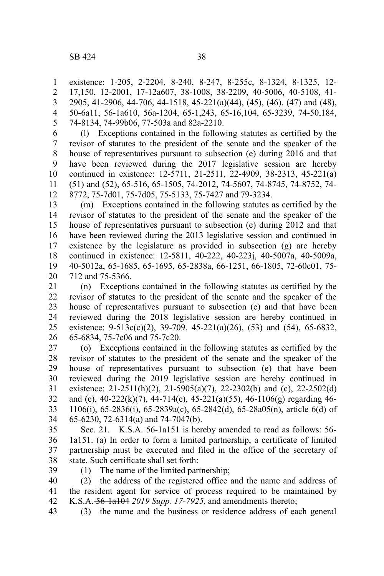existence: 1-205, 2-2204, 8-240, 8-247, 8-255c, 8-1324, 8-1325, 12- 17,150, 12-2001, 17-12a607, 38-1008, 38-2209, 40-5006, 40-5108, 41- 2905, 41-2906, 44-706, 44-1518, 45-221(a)(44), (45), (46), (47) and (48), 50-6a11, 56-1a610, 56a-1204, 65-1,243, 65-16,104, 65-3239, 74-50,184, 74-8134, 74-99b06, 77-503a and 82a-2210. 1 2 3 4 5

(l) Exceptions contained in the following statutes as certified by the revisor of statutes to the president of the senate and the speaker of the house of representatives pursuant to subsection (e) during 2016 and that have been reviewed during the 2017 legislative session are hereby continued in existence: 12-5711, 21-2511, 22-4909, 38-2313, 45-221(a) (51) and (52), 65-516, 65-1505, 74-2012, 74-5607, 74-8745, 74-8752, 74- 8772, 75-7d01, 75-7d05, 75-5133, 75-7427 and 79-3234. 6 7 8 9 10 11 12

(m) Exceptions contained in the following statutes as certified by the revisor of statutes to the president of the senate and the speaker of the house of representatives pursuant to subsection (e) during 2012 and that have been reviewed during the 2013 legislative session and continued in existence by the legislature as provided in subsection (g) are hereby continued in existence: 12-5811, 40-222, 40-223j, 40-5007a, 40-5009a, 40-5012a, 65-1685, 65-1695, 65-2838a, 66-1251, 66-1805, 72-60c01, 75- 712 and 75-5366. 13 14 15 16 17 18 19 20

(n) Exceptions contained in the following statutes as certified by the revisor of statutes to the president of the senate and the speaker of the house of representatives pursuant to subsection (e) and that have been reviewed during the 2018 legislative session are hereby continued in existence:  $9-513c(c)(2)$ ,  $39-709$ ,  $45-221(a)(26)$ ,  $(53)$  and  $(54)$ ,  $65-6832$ , 65-6834, 75-7c06 and 75-7c20. 21 22 23 24 25 26

(o) Exceptions contained in the following statutes as certified by the revisor of statutes to the president of the senate and the speaker of the house of representatives pursuant to subsection (e) that have been reviewed during the 2019 legislative session are hereby continued in existence:  $21-2511(h)(2)$ ,  $21-5905(a)(7)$ ,  $22-2302(b)$  and (c),  $22-2502(d)$ and (e),  $40-222(k)(7)$ ,  $44-714(e)$ ,  $45-221(a)(55)$ ,  $46-1106(g)$  regarding  $46-$ 1106(i), 65-2836(i), 65-2839a(c), 65-2842(d), 65-28a05(n), article 6(d) of 65-6230, 72-6314(a) and 74-7047(b). 27 28 29 30 31 32 33 34

Sec. 21. K.S.A. 56-1a151 is hereby amended to read as follows: 56- 1a151. (a) In order to form a limited partnership, a certificate of limited partnership must be executed and filed in the office of the secretary of state. Such certificate shall set forth: 35 36 37 38

39

(1) The name of the limited partnership;

(2) the address of the registered office and the name and address of the resident agent for service of process required to be maintained by K.S.A. 56-1a104 *2019 Supp. 17-7925,* and amendments thereto; 40 41 42

(3) the name and the business or residence address of each general 43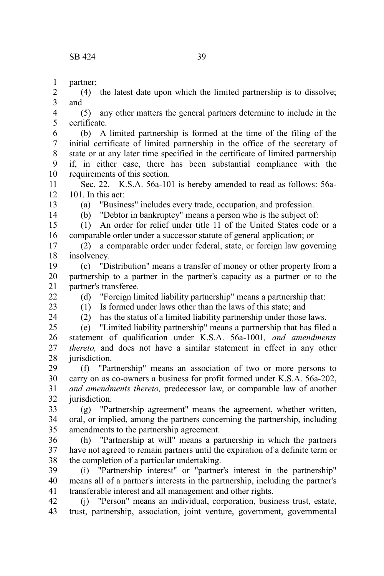partner; 1

(4) the latest date upon which the limited partnership is to dissolve; and 2 3

(5) any other matters the general partners determine to include in the certificate. 4 5

(b) A limited partnership is formed at the time of the filing of the initial certificate of limited partnership in the office of the secretary of state or at any later time specified in the certificate of limited partnership if, in either case, there has been substantial compliance with the requirements of this section. 6 7 8 9 10

Sec. 22. K.S.A. 56a-101 is hereby amended to read as follows: 56a-101. In this act: 11 12

13

14

(a) "Business" includes every trade, occupation, and profession.

(b) "Debtor in bankruptcy" means a person who is the subject of:

(1) An order for relief under title 11 of the United States code or a comparable order under a successor statute of general application; or 15 16

(2) a comparable order under federal, state, or foreign law governing insolvency. 17 18

(c) "Distribution" means a transfer of money or other property from a partnership to a partner in the partner's capacity as a partner or to the partner's transferee. 19 20 21

 $22$ 

23

(d) "Foreign limited liability partnership" means a partnership that: (1) Is formed under laws other than the laws of this state; and

24

(2) has the status of a limited liability partnership under those laws.

(e) "Limited liability partnership" means a partnership that has filed a statement of qualification under K.S.A. 56a-1001*, and amendments thereto,* and does not have a similar statement in effect in any other jurisdiction.  $25$ 26 27 28

(f) "Partnership" means an association of two or more persons to carry on as co-owners a business for profit formed under K.S.A. 56a-202, *and amendments thereto,* predecessor law, or comparable law of another jurisdiction. 29 30 31 32

(g) "Partnership agreement" means the agreement, whether written, oral, or implied, among the partners concerning the partnership, including amendments to the partnership agreement. 33 34 35

(h) "Partnership at will" means a partnership in which the partners have not agreed to remain partners until the expiration of a definite term or the completion of a particular undertaking. 36 37 38

(i) "Partnership interest" or "partner's interest in the partnership" means all of a partner's interests in the partnership, including the partner's transferable interest and all management and other rights. 39 40 41

(j) "Person" means an individual, corporation, business trust, estate, trust, partnership, association, joint venture, government, governmental 42 43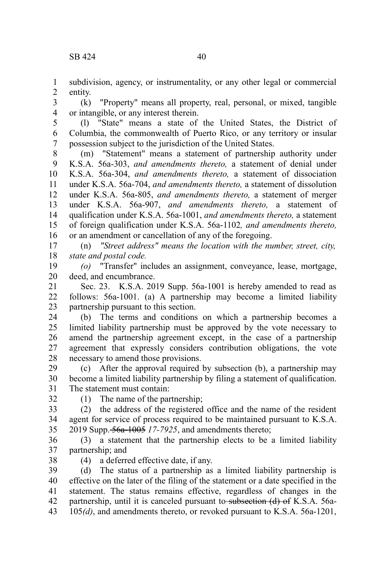subdivision, agency, or instrumentality, or any other legal or commercial entity. 1 2

(k) "Property" means all property, real, personal, or mixed, tangible or intangible, or any interest therein. 3 4

(l) "State" means a state of the United States, the District of Columbia, the commonwealth of Puerto Rico, or any territory or insular possession subject to the jurisdiction of the United States. 5 6 7

(m) "Statement" means a statement of partnership authority under K.S.A. 56a-303, *and amendments thereto,* a statement of denial under K.S.A. 56a-304, *and amendments thereto,* a statement of dissociation under K.S.A. 56a-704, *and amendments thereto,* a statement of dissolution under K.S.A. 56a-805, *and amendments thereto,* a statement of merger under K.S.A. 56a-907, *and amendments thereto,* a statement of qualification under K.S.A. 56a-1001, *and amendments thereto,* a statement of foreign qualification under K.S.A. 56a-1102*, and amendments thereto,* or an amendment or cancellation of any of the foregoing. 8 9 10 11 12 13 14 15 16

(n) *"Street address" means the location with the number, street, city, state and postal code.* 17 18

*(o)* "Transfer" includes an assignment, conveyance, lease, mortgage, deed, and encumbrance. 19 20

Sec. 23. K.S.A. 2019 Supp. 56a-1001 is hereby amended to read as follows: 56a-1001. (a) A partnership may become a limited liability partnership pursuant to this section. 21 22 23

(b) The terms and conditions on which a partnership becomes a limited liability partnership must be approved by the vote necessary to amend the partnership agreement except, in the case of a partnership agreement that expressly considers contribution obligations, the vote necessary to amend those provisions. 24 25 26 27 28

(c) After the approval required by subsection (b), a partnership may become a limited liability partnership by filing a statement of qualification. The statement must contain: 29 30 31

32

(1) The name of the partnership;

(2) the address of the registered office and the name of the resident agent for service of process required to be maintained pursuant to K.S.A. 2019 Supp. 56a-1005 *17-7925*, and amendments thereto; 33 34 35

(3) a statement that the partnership elects to be a limited liability partnership; and 36 37

38

(4) a deferred effective date, if any.

(d) The status of a partnership as a limited liability partnership is effective on the later of the filing of the statement or a date specified in the statement. The status remains effective, regardless of changes in the partnership, until it is canceled pursuant to subsection (d) of K.S.A. 56a-105*(d)*, and amendments thereto, or revoked pursuant to K.S.A. 56a-1201, 39 40 41 42 43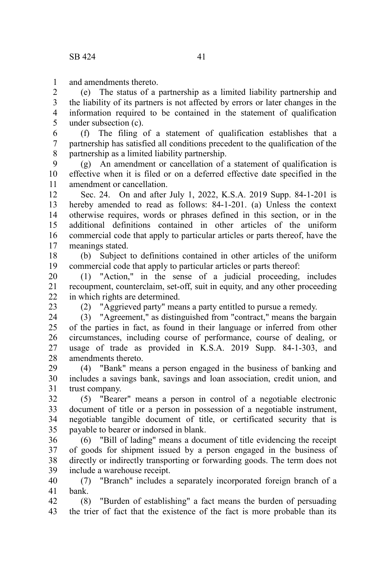and amendments thereto. 1

(e) The status of a partnership as a limited liability partnership and the liability of its partners is not affected by errors or later changes in the information required to be contained in the statement of qualification under subsection (c). 2 3 4 5

(f) The filing of a statement of qualification establishes that a partnership has satisfied all conditions precedent to the qualification of the partnership as a limited liability partnership. 6 7 8

(g) An amendment or cancellation of a statement of qualification is effective when it is filed or on a deferred effective date specified in the amendment or cancellation. 9 10 11

Sec. 24. On and after July 1, 2022, K.S.A. 2019 Supp. 84-1-201 is hereby amended to read as follows: 84-1-201. (a) Unless the context otherwise requires, words or phrases defined in this section, or in the additional definitions contained in other articles of the uniform commercial code that apply to particular articles or parts thereof, have the meanings stated. 12 13 14 15 16 17

(b) Subject to definitions contained in other articles of the uniform commercial code that apply to particular articles or parts thereof: 18 19

(1) "Action," in the sense of a judicial proceeding, includes recoupment, counterclaim, set-off, suit in equity, and any other proceeding in which rights are determined. 20 21 22

23

(2) "Aggrieved party" means a party entitled to pursue a remedy.

(3) "Agreement," as distinguished from "contract," means the bargain of the parties in fact, as found in their language or inferred from other circumstances, including course of performance, course of dealing, or usage of trade as provided in K.S.A. 2019 Supp. 84-1-303, and amendments thereto. 24 25 26 27 28

(4) "Bank" means a person engaged in the business of banking and includes a savings bank, savings and loan association, credit union, and trust company. 29 30 31

(5) "Bearer" means a person in control of a negotiable electronic document of title or a person in possession of a negotiable instrument, negotiable tangible document of title, or certificated security that is payable to bearer or indorsed in blank. 32 33 34 35

(6) "Bill of lading" means a document of title evidencing the receipt of goods for shipment issued by a person engaged in the business of directly or indirectly transporting or forwarding goods. The term does not include a warehouse receipt. 36 37 38 39

(7) "Branch" includes a separately incorporated foreign branch of a bank. 40 41

(8) "Burden of establishing" a fact means the burden of persuading the trier of fact that the existence of the fact is more probable than its 42 43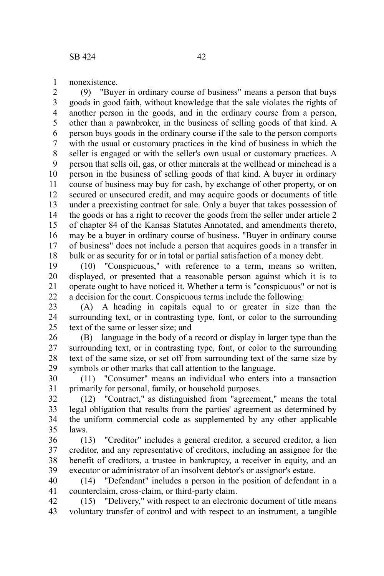nonexistence. 1

(9) "Buyer in ordinary course of business" means a person that buys goods in good faith, without knowledge that the sale violates the rights of another person in the goods, and in the ordinary course from a person, other than a pawnbroker, in the business of selling goods of that kind. A person buys goods in the ordinary course if the sale to the person comports with the usual or customary practices in the kind of business in which the seller is engaged or with the seller's own usual or customary practices. A person that sells oil, gas, or other minerals at the wellhead or minehead is a person in the business of selling goods of that kind. A buyer in ordinary course of business may buy for cash, by exchange of other property, or on secured or unsecured credit, and may acquire goods or documents of title under a preexisting contract for sale. Only a buyer that takes possession of the goods or has a right to recover the goods from the seller under article 2 of chapter 84 of the Kansas Statutes Annotated, and amendments thereto, may be a buyer in ordinary course of business. "Buyer in ordinary course of business" does not include a person that acquires goods in a transfer in bulk or as security for or in total or partial satisfaction of a money debt. 2 3 4 5 6 7 8 9 10 11 12 13 14 15 16 17 18

(10) "Conspicuous," with reference to a term, means so written, displayed, or presented that a reasonable person against which it is to operate ought to have noticed it. Whether a term is "conspicuous" or not is a decision for the court. Conspicuous terms include the following: 19 20 21 22

(A) A heading in capitals equal to or greater in size than the surrounding text, or in contrasting type, font, or color to the surrounding text of the same or lesser size; and 23 24 25

(B) language in the body of a record or display in larger type than the surrounding text, or in contrasting type, font, or color to the surrounding text of the same size, or set off from surrounding text of the same size by symbols or other marks that call attention to the language. 26 27 28 29

(11) "Consumer" means an individual who enters into a transaction primarily for personal, family, or household purposes. 30 31

(12) "Contract," as distinguished from "agreement," means the total legal obligation that results from the parties' agreement as determined by the uniform commercial code as supplemented by any other applicable laws. 32 33 34 35

(13) "Creditor" includes a general creditor, a secured creditor, a lien creditor, and any representative of creditors, including an assignee for the benefit of creditors, a trustee in bankruptcy, a receiver in equity, and an executor or administrator of an insolvent debtor's or assignor's estate. 36 37 38 39

(14) "Defendant" includes a person in the position of defendant in a counterclaim, cross-claim, or third-party claim. 40 41

(15) "Delivery," with respect to an electronic document of title means voluntary transfer of control and with respect to an instrument, a tangible 42 43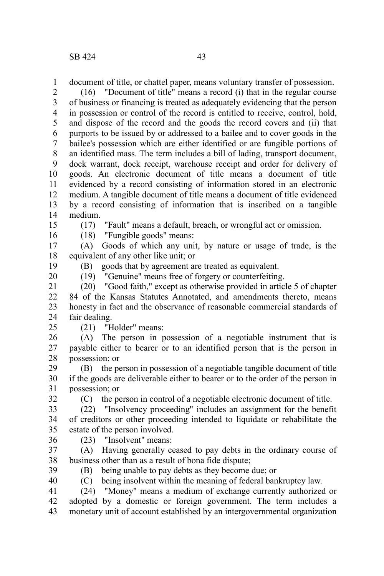document of title, or chattel paper, means voluntary transfer of possession. 1

(16) "Document of title" means a record (i) that in the regular course of business or financing is treated as adequately evidencing that the person in possession or control of the record is entitled to receive, control, hold, and dispose of the record and the goods the record covers and (ii) that purports to be issued by or addressed to a bailee and to cover goods in the bailee's possession which are either identified or are fungible portions of an identified mass. The term includes a bill of lading, transport document, dock warrant, dock receipt, warehouse receipt and order for delivery of goods. An electronic document of title means a document of title evidenced by a record consisting of information stored in an electronic medium. A tangible document of title means a document of title evidenced by a record consisting of information that is inscribed on a tangible medium. 2 3 4 5 6 7 8 9 10 11 12 13 14

15

(17) "Fault" means a default, breach, or wrongful act or omission.

16

(18) "Fungible goods" means:

(A) Goods of which any unit, by nature or usage of trade, is the equivalent of any other like unit; or 17 18

19 20 (B) goods that by agreement are treated as equivalent.

(19) "Genuine" means free of forgery or counterfeiting.

 $(20)$  "Good faith," except as otherwise provided in article 5 of chapter 84 of the Kansas Statutes Annotated, and amendments thereto, means honesty in fact and the observance of reasonable commercial standards of fair dealing. 21 22 23 24

 $25$ 

(21) "Holder" means:

(A) The person in possession of a negotiable instrument that is payable either to bearer or to an identified person that is the person in possession; or 26 27 28

(B) the person in possession of a negotiable tangible document of title if the goods are deliverable either to bearer or to the order of the person in possession; or 29 30 31

(C) the person in control of a negotiable electronic document of title.

(22) "Insolvency proceeding" includes an assignment for the benefit of creditors or other proceeding intended to liquidate or rehabilitate the estate of the person involved. 33 34 35

36

32

(23) "Insolvent" means:

(A) Having generally ceased to pay debts in the ordinary course of business other than as a result of bona fide dispute; 37 38

39 40 (B) being unable to pay debts as they become due; or

(C) being insolvent within the meaning of federal bankruptcy law.

(24) "Money" means a medium of exchange currently authorized or adopted by a domestic or foreign government. The term includes a monetary unit of account established by an intergovernmental organization 41 42 43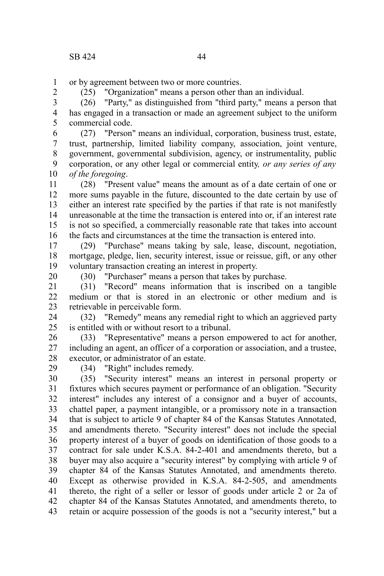or by agreement between two or more countries. 1

2

(25) "Organization" means a person other than an individual.

(26) "Party," as distinguished from "third party," means a person that has engaged in a transaction or made an agreement subject to the uniform commercial code. 3 4 5

(27) "Person" means an individual, corporation, business trust, estate, trust, partnership, limited liability company, association, joint venture, government, governmental subdivision, agency, or instrumentality, public corporation, or any other legal or commercial entity*, or any series of any of the foregoing*. 6 7 8 9 10

(28) "Present value" means the amount as of a date certain of one or more sums payable in the future, discounted to the date certain by use of either an interest rate specified by the parties if that rate is not manifestly unreasonable at the time the transaction is entered into or, if an interest rate is not so specified, a commercially reasonable rate that takes into account the facts and circumstances at the time the transaction is entered into. 11 12 13 14 15 16

(29) "Purchase" means taking by sale, lease, discount, negotiation, mortgage, pledge, lien, security interest, issue or reissue, gift, or any other voluntary transaction creating an interest in property. 17 18 19

20

(30) "Purchaser" means a person that takes by purchase.

(31) "Record" means information that is inscribed on a tangible medium or that is stored in an electronic or other medium and is retrievable in perceivable form. 21 22 23

(32) "Remedy" means any remedial right to which an aggrieved party is entitled with or without resort to a tribunal. 24 25

(33) "Representative" means a person empowered to act for another, including an agent, an officer of a corporation or association, and a trustee, executor, or administrator of an estate. 26 27 28

29

(34) "Right" includes remedy.

(35) "Security interest" means an interest in personal property or fixtures which secures payment or performance of an obligation. "Security interest" includes any interest of a consignor and a buyer of accounts, chattel paper, a payment intangible, or a promissory note in a transaction that is subject to article 9 of chapter 84 of the Kansas Statutes Annotated, and amendments thereto. "Security interest" does not include the special property interest of a buyer of goods on identification of those goods to a contract for sale under K.S.A. 84-2-401 and amendments thereto, but a buyer may also acquire a "security interest" by complying with article 9 of chapter 84 of the Kansas Statutes Annotated, and amendments thereto. Except as otherwise provided in K.S.A. 84-2-505, and amendments thereto, the right of a seller or lessor of goods under article 2 or 2a of chapter 84 of the Kansas Statutes Annotated, and amendments thereto, to retain or acquire possession of the goods is not a "security interest," but a 30 31 32 33 34 35 36 37 38 39 40 41 42 43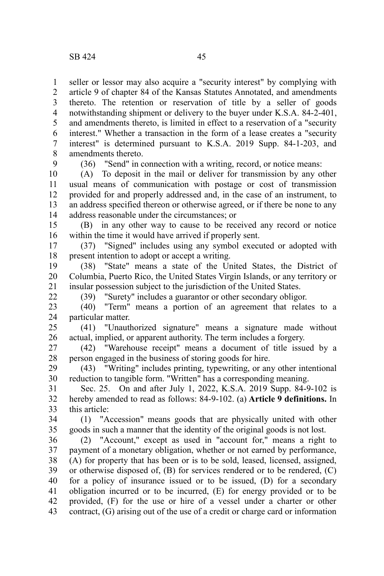seller or lessor may also acquire a "security interest" by complying with article 9 of chapter 84 of the Kansas Statutes Annotated, and amendments thereto. The retention or reservation of title by a seller of goods notwithstanding shipment or delivery to the buyer under K.S.A. 84-2-401, and amendments thereto, is limited in effect to a reservation of a "security interest." Whether a transaction in the form of a lease creates a "security interest" is determined pursuant to K.S.A. 2019 Supp. 84-1-203, and amendments thereto. 1 2 3 4 5 6 7 8

9

22

(36) "Send" in connection with a writing, record, or notice means:

(A) To deposit in the mail or deliver for transmission by any other usual means of communication with postage or cost of transmission provided for and properly addressed and, in the case of an instrument, to an address specified thereon or otherwise agreed, or if there be none to any address reasonable under the circumstances; or 10 11 12 13 14

(B) in any other way to cause to be received any record or notice within the time it would have arrived if properly sent. 15 16

(37) "Signed" includes using any symbol executed or adopted with present intention to adopt or accept a writing. 17 18

(38) "State" means a state of the United States, the District of Columbia, Puerto Rico, the United States Virgin Islands, or any territory or insular possession subject to the jurisdiction of the United States. 19 20 21

(39) "Surety" includes a guarantor or other secondary obligor.

(40) "Term" means a portion of an agreement that relates to a particular matter. 23 24

(41) "Unauthorized signature" means a signature made without actual, implied, or apparent authority. The term includes a forgery. 25 26

(42) "Warehouse receipt" means a document of title issued by a person engaged in the business of storing goods for hire. 27 28

(43) "Writing" includes printing, typewriting, or any other intentional reduction to tangible form. "Written" has a corresponding meaning. 29 30

Sec. 25. On and after July 1, 2022, K.S.A. 2019 Supp. 84-9-102 is hereby amended to read as follows: 84-9-102. (a) **Article 9 definitions.** In this article: 31 32 33

(1) "Accession" means goods that are physically united with other goods in such a manner that the identity of the original goods is not lost. 34 35

(2) "Account," except as used in "account for," means a right to payment of a monetary obligation, whether or not earned by performance, (A) for property that has been or is to be sold, leased, licensed, assigned, or otherwise disposed of, (B) for services rendered or to be rendered, (C) for a policy of insurance issued or to be issued, (D) for a secondary obligation incurred or to be incurred, (E) for energy provided or to be provided, (F) for the use or hire of a vessel under a charter or other contract, (G) arising out of the use of a credit or charge card or information 36 37 38 39 40 41 42 43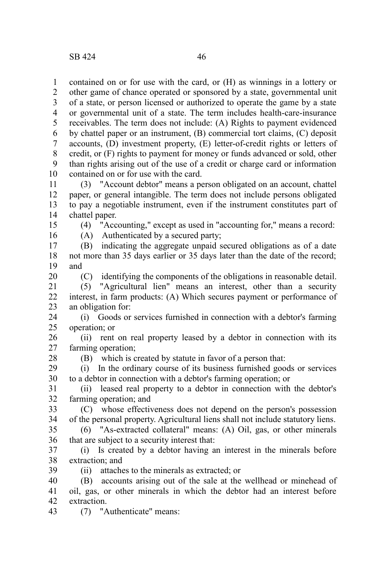contained on or for use with the card, or (H) as winnings in a lottery or other game of chance operated or sponsored by a state, governmental unit of a state, or person licensed or authorized to operate the game by a state or governmental unit of a state. The term includes health-care-insurance receivables. The term does not include: (A) Rights to payment evidenced by chattel paper or an instrument, (B) commercial tort claims, (C) deposit accounts, (D) investment property, (E) letter-of-credit rights or letters of credit, or (F) rights to payment for money or funds advanced or sold, other than rights arising out of the use of a credit or charge card or information contained on or for use with the card. 1 2 3 4 5 6 7 8 9 10

(3) "Account debtor" means a person obligated on an account, chattel paper, or general intangible. The term does not include persons obligated to pay a negotiable instrument, even if the instrument constitutes part of chattel paper. 11 12 13 14

15

(4) "Accounting," except as used in "accounting for," means a record:

16

20

(A) Authenticated by a secured party;

(B) indicating the aggregate unpaid secured obligations as of a date not more than 35 days earlier or 35 days later than the date of the record; and 17 18 19

(C) identifying the components of the obligations in reasonable detail.

(5) "Agricultural lien" means an interest, other than a security interest, in farm products: (A) Which secures payment or performance of an obligation for: 21 22 23

(i) Goods or services furnished in connection with a debtor's farming operation; or 24 25

(ii) rent on real property leased by a debtor in connection with its farming operation; 26 27

28

39

(B) which is created by statute in favor of a person that:

(i) In the ordinary course of its business furnished goods or services to a debtor in connection with a debtor's farming operation; or 29 30

(ii) leased real property to a debtor in connection with the debtor's farming operation; and 31 32

(C) whose effectiveness does not depend on the person's possession of the personal property. Agricultural liens shall not include statutory liens. 33 34

(6) "As-extracted collateral" means: (A) Oil, gas, or other minerals that are subject to a security interest that: 35 36

(i) Is created by a debtor having an interest in the minerals before extraction; and 37 38

(ii) attaches to the minerals as extracted; or

(B) accounts arising out of the sale at the wellhead or minehead of oil, gas, or other minerals in which the debtor had an interest before extraction. 40 41 42

(7) "Authenticate" means: 43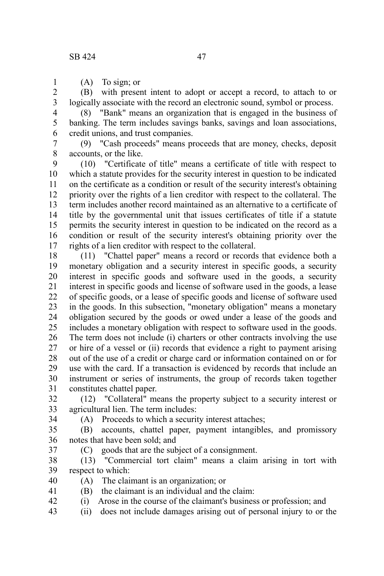1

(A) To sign; or

(B) with present intent to adopt or accept a record, to attach to or logically associate with the record an electronic sound, symbol or process. 2 3

(8) "Bank" means an organization that is engaged in the business of banking. The term includes savings banks, savings and loan associations, credit unions, and trust companies. 4 5 6

(9) "Cash proceeds" means proceeds that are money, checks, deposit accounts, or the like. 7 8

(10) "Certificate of title" means a certificate of title with respect to which a statute provides for the security interest in question to be indicated on the certificate as a condition or result of the security interest's obtaining priority over the rights of a lien creditor with respect to the collateral. The term includes another record maintained as an alternative to a certificate of title by the governmental unit that issues certificates of title if a statute permits the security interest in question to be indicated on the record as a condition or result of the security interest's obtaining priority over the rights of a lien creditor with respect to the collateral. 9 10 11 12 13 14 15 16 17

(11) "Chattel paper" means a record or records that evidence both a monetary obligation and a security interest in specific goods, a security interest in specific goods and software used in the goods, a security interest in specific goods and license of software used in the goods, a lease of specific goods, or a lease of specific goods and license of software used in the goods. In this subsection, "monetary obligation" means a monetary obligation secured by the goods or owed under a lease of the goods and includes a monetary obligation with respect to software used in the goods. The term does not include (i) charters or other contracts involving the use or hire of a vessel or (ii) records that evidence a right to payment arising out of the use of a credit or charge card or information contained on or for use with the card. If a transaction is evidenced by records that include an instrument or series of instruments, the group of records taken together constitutes chattel paper. 18 19 20 21 22 23 24 25 26 27 28 29 30 31

(12) "Collateral" means the property subject to a security interest or agricultural lien. The term includes: 32 33

34

42

(A) Proceeds to which a security interest attaches;

(B) accounts, chattel paper, payment intangibles, and promissory notes that have been sold; and 35 36 37

(C) goods that are the subject of a consignment.

(13) "Commercial tort claim" means a claim arising in tort with respect to which: 38 39

(A) The claimant is an organization; or 40

(B) the claimant is an individual and the claim: 41

(i) Arose in the course of the claimant's business or profession; and

(ii) does not include damages arising out of personal injury to or the 43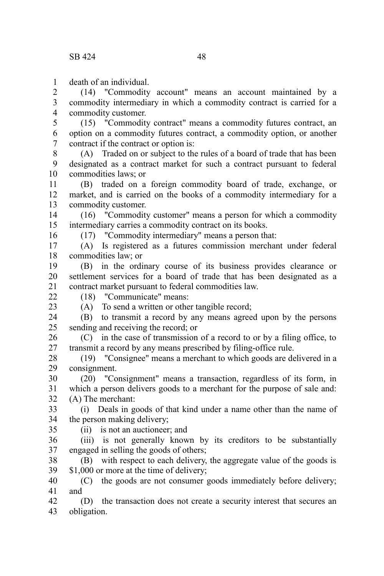death of an individual. 1

(14) "Commodity account" means an account maintained by a commodity intermediary in which a commodity contract is carried for a commodity customer. 2 3 4

(15) "Commodity contract" means a commodity futures contract, an option on a commodity futures contract, a commodity option, or another contract if the contract or option is: 5 6 7

(A) Traded on or subject to the rules of a board of trade that has been designated as a contract market for such a contract pursuant to federal commodities laws; or 8 9 10

(B) traded on a foreign commodity board of trade, exchange, or market, and is carried on the books of a commodity intermediary for a commodity customer. 11 12 13

(16) "Commodity customer" means a person for which a commodity intermediary carries a commodity contract on its books. 14 15

16

(17) "Commodity intermediary" means a person that:

(A) Is registered as a futures commission merchant under federal commodities law; or 17 18

(B) in the ordinary course of its business provides clearance or settlement services for a board of trade that has been designated as a contract market pursuant to federal commodities law. (18) "Communicate" means: 19 20 21

 $22$ 

23

(A) To send a written or other tangible record;

(B) to transmit a record by any means agreed upon by the persons sending and receiving the record; or 24 25

(C) in the case of transmission of a record to or by a filing office, to transmit a record by any means prescribed by filing-office rule. 26 27

(19) "Consignee" means a merchant to which goods are delivered in a consignment. 28 29

(20) "Consignment" means a transaction, regardless of its form, in which a person delivers goods to a merchant for the purpose of sale and: (A) The merchant: 30 31 32

(i) Deals in goods of that kind under a name other than the name of the person making delivery; 33 34

35

(ii) is not an auctioneer; and

(iii) is not generally known by its creditors to be substantially engaged in selling the goods of others; 36 37

(B) with respect to each delivery, the aggregate value of the goods is \$1,000 or more at the time of delivery; 38 39

(C) the goods are not consumer goods immediately before delivery; and 40 41

(D) the transaction does not create a security interest that secures an obligation. 42 43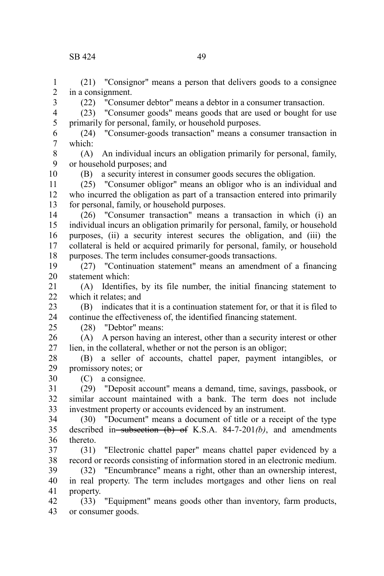# SB 424 49

in a consignment.

(22) "Consumer debtor" means a debtor in a consumer transaction. (23) "Consumer goods" means goods that are used or bought for use

(21) "Consignor" means a person that delivers goods to a consignee

primarily for personal, family, or household purposes. (24) "Consumer-goods transaction" means a consumer transaction in which: (A) An individual incurs an obligation primarily for personal, family, or household purposes; and (B) a security interest in consumer goods secures the obligation. (25) "Consumer obligor" means an obligor who is an individual and who incurred the obligation as part of a transaction entered into primarily for personal, family, or household purposes. (26) "Consumer transaction" means a transaction in which (i) an individual incurs an obligation primarily for personal, family, or household purposes, (ii) a security interest secures the obligation, and (iii) the collateral is held or acquired primarily for personal, family, or household purposes. The term includes consumer-goods transactions. (27) "Continuation statement" means an amendment of a financing statement which: (A) Identifies, by its file number, the initial financing statement to which it relates; and (B) indicates that it is a continuation statement for, or that it is filed to continue the effectiveness of, the identified financing statement. (28) "Debtor" means: (A) A person having an interest, other than a security interest or other lien, in the collateral, whether or not the person is an obligor; (B) a seller of accounts, chattel paper, payment intangibles, or promissory notes; or (C) a consignee. (29) "Deposit account" means a demand, time, savings, passbook, or similar account maintained with a bank. The term does not include investment property or accounts evidenced by an instrument. (30) "Document" means a document of title or a receipt of the type described in subsection (b) of K.S.A. 84-7-201(b), and amendments thereto. (31) "Electronic chattel paper" means chattel paper evidenced by a record or records consisting of information stored in an electronic medium. (32) "Encumbrance" means a right, other than an ownership interest, 6 7 8 9 10 11 12 13 14 15 16 17 18 19 20 21 22 23 24 25 26 27 28 29 30 31 32 33 34 35 36 37 38 39

in real property. The term includes mortgages and other liens on real property. 40 41

(33) "Equipment" means goods other than inventory, farm products, or consumer goods. 42 43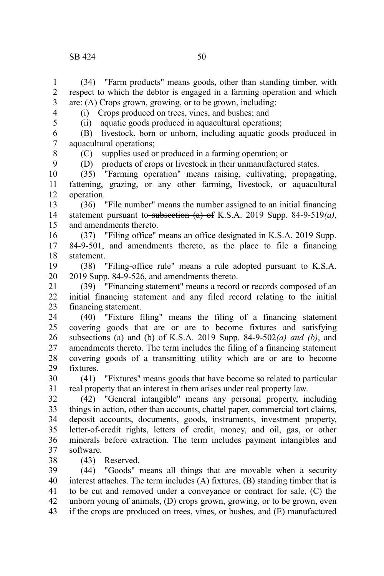# $SB$  424 50

(34) "Farm products" means goods, other than standing timber, with respect to which the debtor is engaged in a farming operation and which are: (A) Crops grown, growing, or to be grown, including: 1 2 3

4 5 (i) Crops produced on trees, vines, and bushes; and

(ii) aquatic goods produced in aquacultural operations;

(B) livestock, born or unborn, including aquatic goods produced in aquacultural operations; 6 7

8 9 (C) supplies used or produced in a farming operation; or

(D) products of crops or livestock in their unmanufactured states.

(35) "Farming operation" means raising, cultivating, propagating, fattening, grazing, or any other farming, livestock, or aquacultural operation. 10 11 12

(36) "File number" means the number assigned to an initial financing statement pursuant to subsection  $(a)$  of K.S.A. 2019 Supp. 84-9-519 $(a)$ , and amendments thereto. 13 14 15

(37) "Filing office" means an office designated in K.S.A. 2019 Supp. 84-9-501, and amendments thereto, as the place to file a financing statement. 16 17 18

(38) "Filing-office rule" means a rule adopted pursuant to K.S.A. 2019 Supp. 84-9-526, and amendments thereto. 19 20

(39) "Financing statement" means a record or records composed of an initial financing statement and any filed record relating to the initial financing statement. 21 22 23

(40) "Fixture filing" means the filing of a financing statement covering goods that are or are to become fixtures and satisfying subsections (a) and (b) of K.S.A. 2019 Supp. 84-9-502*(a) and (b)*, and amendments thereto. The term includes the filing of a financing statement covering goods of a transmitting utility which are or are to become fixtures. 24 25 26 27 28 29

(41) "Fixtures" means goods that have become so related to particular real property that an interest in them arises under real property law. 30 31

(42) "General intangible" means any personal property, including things in action, other than accounts, chattel paper, commercial tort claims, deposit accounts, documents, goods, instruments, investment property, letter-of-credit rights, letters of credit, money, and oil, gas, or other minerals before extraction. The term includes payment intangibles and software. 32 33 34 35 36 37

(43) Reserved. 38

(44) "Goods" means all things that are movable when a security interest attaches. The term includes (A) fixtures, (B) standing timber that is to be cut and removed under a conveyance or contract for sale, (C) the unborn young of animals, (D) crops grown, growing, or to be grown, even if the crops are produced on trees, vines, or bushes, and (E) manufactured 39 40 41 42 43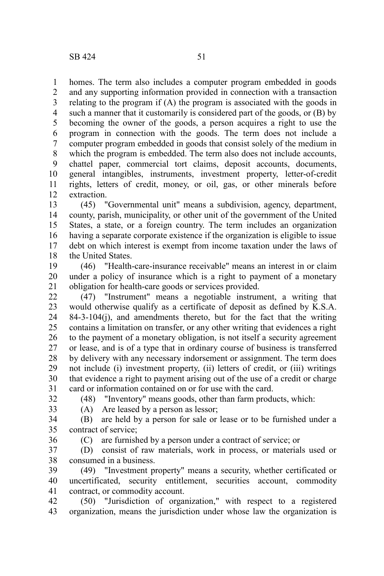homes. The term also includes a computer program embedded in goods and any supporting information provided in connection with a transaction relating to the program if (A) the program is associated with the goods in such a manner that it customarily is considered part of the goods, or (B) by becoming the owner of the goods, a person acquires a right to use the program in connection with the goods. The term does not include a computer program embedded in goods that consist solely of the medium in which the program is embedded. The term also does not include accounts, chattel paper, commercial tort claims, deposit accounts, documents, general intangibles, instruments, investment property, letter-of-credit rights, letters of credit, money, or oil, gas, or other minerals before extraction. 1 2 3 4 5 6 7 8 9 10 11 12

(45) "Governmental unit" means a subdivision, agency, department, county, parish, municipality, or other unit of the government of the United States, a state, or a foreign country. The term includes an organization having a separate corporate existence if the organization is eligible to issue debt on which interest is exempt from income taxation under the laws of the United States. 13 14 15 16 17 18

(46) "Health-care-insurance receivable" means an interest in or claim under a policy of insurance which is a right to payment of a monetary obligation for health-care goods or services provided. 19 20 21

(47) "Instrument" means a negotiable instrument, a writing that would otherwise qualify as a certificate of deposit as defined by K.S.A. 84-3-104(j), and amendments thereto, but for the fact that the writing contains a limitation on transfer, or any other writing that evidences a right to the payment of a monetary obligation, is not itself a security agreement or lease, and is of a type that in ordinary course of business is transferred by delivery with any necessary indorsement or assignment. The term does not include (i) investment property, (ii) letters of credit, or (iii) writings that evidence a right to payment arising out of the use of a credit or charge card or information contained on or for use with the card. 22 23 24 25 26 27 28 29 30 31

32 33

36

(48) "Inventory" means goods, other than farm products, which:

(A) Are leased by a person as lessor;

(B) are held by a person for sale or lease or to be furnished under a contract of service; 34 35

(C) are furnished by a person under a contract of service; or

(D) consist of raw materials, work in process, or materials used or consumed in a business. 37 38

(49) "Investment property" means a security, whether certificated or uncertificated, security entitlement, securities account, commodity contract, or commodity account. 39 40 41

(50) "Jurisdiction of organization," with respect to a registered organization, means the jurisdiction under whose law the organization is 42 43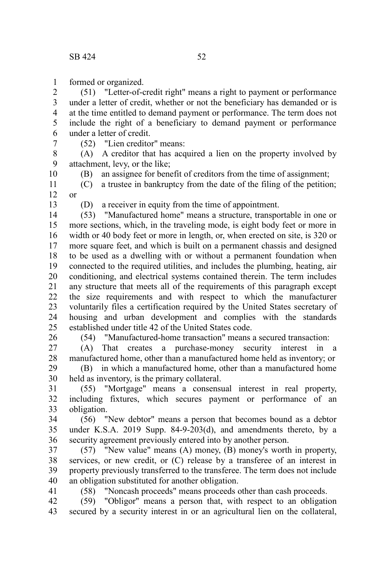formed or organized. 1

(51) "Letter-of-credit right" means a right to payment or performance under a letter of credit, whether or not the beneficiary has demanded or is at the time entitled to demand payment or performance. The term does not include the right of a beneficiary to demand payment or performance under a letter of credit. 2 3 4 5 6

7

(52) "Lien creditor" means:

(A) A creditor that has acquired a lien on the property involved by attachment, levy, or the like; 8 9

(B) an assignee for benefit of creditors from the time of assignment;

(C) a trustee in bankruptcy from the date of the filing of the petition; or 11 12

13

10

(D) a receiver in equity from the time of appointment.

(53) "Manufactured home" means a structure, transportable in one or more sections, which, in the traveling mode, is eight body feet or more in width or 40 body feet or more in length, or, when erected on site, is 320 or more square feet, and which is built on a permanent chassis and designed to be used as a dwelling with or without a permanent foundation when connected to the required utilities, and includes the plumbing, heating, air conditioning, and electrical systems contained therein. The term includes any structure that meets all of the requirements of this paragraph except the size requirements and with respect to which the manufacturer voluntarily files a certification required by the United States secretary of housing and urban development and complies with the standards established under title 42 of the United States code. 14 15 16 17 18 19 20 21 22 23 24 25

26

(54) "Manufactured-home transaction" means a secured transaction:

(A) That creates a purchase-money security interest in a manufactured home, other than a manufactured home held as inventory; or (B) in which a manufactured home, other than a manufactured home held as inventory, is the primary collateral. 27 28 29 30

(55) "Mortgage" means a consensual interest in real property, including fixtures, which secures payment or performance of an obligation. 31 32 33

(56) "New debtor" means a person that becomes bound as a debtor under K.S.A. 2019 Supp. 84-9-203(d), and amendments thereto, by a security agreement previously entered into by another person. 34 35 36

(57) "New value" means (A) money, (B) money's worth in property, services, or new credit, or (C) release by a transferee of an interest in property previously transferred to the transferee. The term does not include an obligation substituted for another obligation. 37 38 39 40

41

(58) "Noncash proceeds" means proceeds other than cash proceeds.

(59) "Obligor" means a person that, with respect to an obligation secured by a security interest in or an agricultural lien on the collateral, 42 43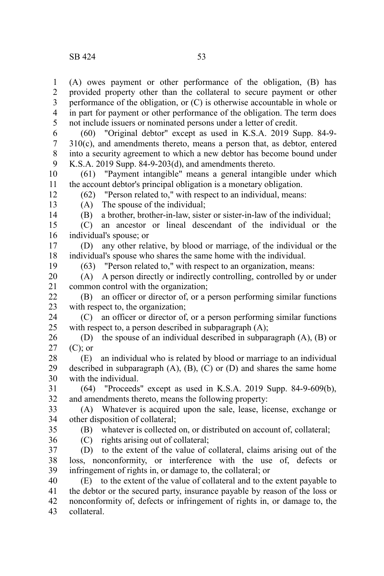(A) owes payment or other performance of the obligation, (B) has provided property other than the collateral to secure payment or other performance of the obligation, or (C) is otherwise accountable in whole or in part for payment or other performance of the obligation. The term does not include issuers or nominated persons under a letter of credit. 1 2 3 4 5

(60) "Original debtor" except as used in K.S.A. 2019 Supp. 84-9- 310(c), and amendments thereto, means a person that, as debtor, entered into a security agreement to which a new debtor has become bound under K.S.A. 2019 Supp. 84-9-203(d), and amendments thereto. 6 7 8 9

(61) "Payment intangible" means a general intangible under which the account debtor's principal obligation is a monetary obligation. 10 11

(62) "Person related to," with respect to an individual, means:

12 13 14

(A) The spouse of the individual;

(B) a brother, brother-in-law, sister or sister-in-law of the individual;

(C) an ancestor or lineal descendant of the individual or the individual's spouse; or 15 16

(D) any other relative, by blood or marriage, of the individual or the individual's spouse who shares the same home with the individual. 17 18

19

(63) "Person related to," with respect to an organization, means:

(A) A person directly or indirectly controlling, controlled by or under common control with the organization; 20 21

(B) an officer or director of, or a person performing similar functions with respect to, the organization: 22 23

(C) an officer or director of, or a person performing similar functions with respect to, a person described in subparagraph  $(A)$ ; 24 25

(D) the spouse of an individual described in subparagraph (A), (B) or  $(C)$ ; or 26 27

(E) an individual who is related by blood or marriage to an individual described in subparagraph  $(A)$ ,  $(B)$ ,  $(C)$  or  $(D)$  and shares the same home with the individual. 28 29 30

(64) "Proceeds" except as used in K.S.A. 2019 Supp. 84-9-609(b), and amendments thereto, means the following property: 31 32

(A) Whatever is acquired upon the sale, lease, license, exchange or other disposition of collateral; 33 34

35 36 (B) whatever is collected on, or distributed on account of, collateral; (C) rights arising out of collateral;

(D) to the extent of the value of collateral, claims arising out of the loss, nonconformity, or interference with the use of, defects or infringement of rights in, or damage to, the collateral; or 37 38 39

(E) to the extent of the value of collateral and to the extent payable to the debtor or the secured party, insurance payable by reason of the loss or nonconformity of, defects or infringement of rights in, or damage to, the collateral. 40 41 42 43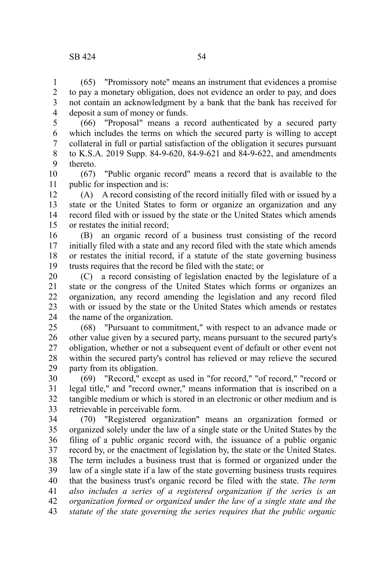(65) "Promissory note" means an instrument that evidences a promise to pay a monetary obligation, does not evidence an order to pay, and does not contain an acknowledgment by a bank that the bank has received for deposit a sum of money or funds. 1 2 3 4

(66) "Proposal" means a record authenticated by a secured party which includes the terms on which the secured party is willing to accept collateral in full or partial satisfaction of the obligation it secures pursuant to K.S.A. 2019 Supp. 84-9-620, 84-9-621 and 84-9-622, and amendments thereto. 5 6 7 8 9

(67) "Public organic record" means a record that is available to the public for inspection and is: 10 11

(A) A record consisting of the record initially filed with or issued by a state or the United States to form or organize an organization and any record filed with or issued by the state or the United States which amends or restates the initial record; 12 13 14 15

(B) an organic record of a business trust consisting of the record initially filed with a state and any record filed with the state which amends or restates the initial record, if a statute of the state governing business trusts requires that the record be filed with the state; or 16 17 18 19

(C) a record consisting of legislation enacted by the legislature of a state or the congress of the United States which forms or organizes an organization, any record amending the legislation and any record filed with or issued by the state or the United States which amends or restates the name of the organization. 20 21 22 23 24

(68) "Pursuant to commitment," with respect to an advance made or other value given by a secured party, means pursuant to the secured party's obligation, whether or not a subsequent event of default or other event not within the secured party's control has relieved or may relieve the secured party from its obligation. 25 26 27 28 29

(69) "Record," except as used in "for record," "of record," "record or legal title," and "record owner," means information that is inscribed on a tangible medium or which is stored in an electronic or other medium and is retrievable in perceivable form. 30 31 32 33

(70) "Registered organization" means an organization formed or organized solely under the law of a single state or the United States by the filing of a public organic record with, the issuance of a public organic record by, or the enactment of legislation by, the state or the United States. The term includes a business trust that is formed or organized under the law of a single state if a law of the state governing business trusts requires that the business trust's organic record be filed with the state. *The term also includes a series of a registered organization if the series is an organization formed or organized under the law of a single state and the statute of the state governing the series requires that the public organic* 34 35 36 37 38 39 40 41 42 43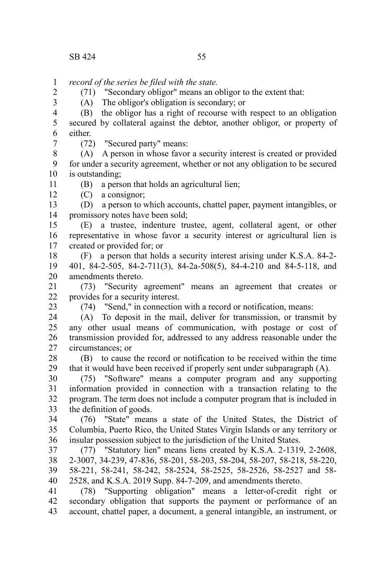2 3

11 12

*record of the series be filed with the state.* 1

(71) "Secondary obligor" means an obligor to the extent that:

(A) The obligor's obligation is secondary; or

(B) the obligor has a right of recourse with respect to an obligation secured by collateral against the debtor, another obligor, or property of either. 4 5 6 7

(72) "Secured party" means:

(A) A person in whose favor a security interest is created or provided for under a security agreement, whether or not any obligation to be secured is outstanding; 8 9 10

(B) a person that holds an agricultural lien;

(C) a consignor;

(D) a person to which accounts, chattel paper, payment intangibles, or promissory notes have been sold; 13 14

(E) a trustee, indenture trustee, agent, collateral agent, or other representative in whose favor a security interest or agricultural lien is created or provided for; or 15 16 17

(F) a person that holds a security interest arising under K.S.A. 84-2- 401, 84-2-505, 84-2-711(3), 84-2a-508(5), 84-4-210 and 84-5-118, and amendments thereto. 18 19 20

(73) "Security agreement" means an agreement that creates or provides for a security interest. 21 22

23

(74) "Send," in connection with a record or notification, means:

(A) To deposit in the mail, deliver for transmission, or transmit by any other usual means of communication, with postage or cost of transmission provided for, addressed to any address reasonable under the circumstances; or 24 25 26 27

(B) to cause the record or notification to be received within the time that it would have been received if properly sent under subparagraph (A). 28 29

(75) "Software" means a computer program and any supporting information provided in connection with a transaction relating to the program. The term does not include a computer program that is included in the definition of goods. 30 31 32 33

(76) "State" means a state of the United States, the District of Columbia, Puerto Rico, the United States Virgin Islands or any territory or insular possession subject to the jurisdiction of the United States. 34 35 36

(77) "Statutory lien" means liens created by K.S.A. 2-1319, 2-2608, 2-3007, 34-239, 47-836, 58-201, 58-203, 58-204, 58-207, 58-218, 58-220, 58-221, 58-241, 58-242, 58-2524, 58-2525, 58-2526, 58-2527 and 58- 2528, and K.S.A. 2019 Supp. 84-7-209, and amendments thereto. 37 38 39 40

(78) "Supporting obligation" means a letter-of-credit right or secondary obligation that supports the payment or performance of an account, chattel paper, a document, a general intangible, an instrument, or 41 42 43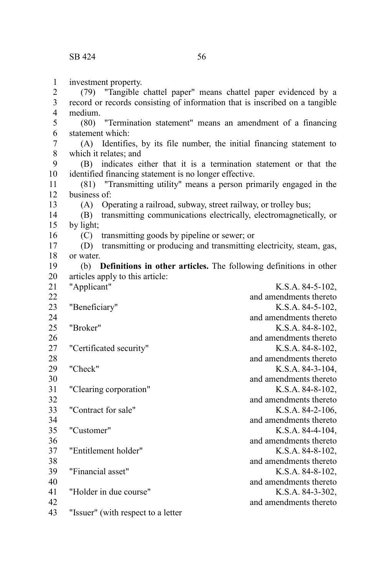investment property. (79) "Tangible chattel paper" means chattel paper evidenced by a record or records consisting of information that is inscribed on a tangible medium. (80) "Termination statement" means an amendment of a financing statement which: (A) Identifies, by its file number, the initial financing statement to which it relates; and (B) indicates either that it is a termination statement or that the identified financing statement is no longer effective. (81) "Transmitting utility" means a person primarily engaged in the business of: (A) Operating a railroad, subway, street railway, or trolley bus; (B) transmitting communications electrically, electromagnetically, or by light; (C) transmitting goods by pipeline or sewer; or (D) transmitting or producing and transmitting electricity, steam, gas, or water. (b) **Definitions in other articles.** The following definitions in other articles apply to this article:  $K.S.A. 84-5-102$ and amendments thereto "Beneficiary" K.S.A. 84-5-102, and amendments thereto "Broker" K.S.A. 84-8-102, and amendments thereto "Certificated security" K.S.A. 84-8-102, and amendments thereto "Check" K.S.A. 84-3-104, and amendments thereto "Clearing corporation" K.S.A. 84-8-102, and amendments thereto "Contract for sale" K.S.A. 84-2-106, and amendments thereto "Customer" K.S.A. 84-4-104, and amendments thereto "Entitlement holder" K.S.A. 84-8-102, and amendments thereto "Financial asset" K.S.A. 84-8-102, and amendments thereto "Holder in due course" K.S.A. 84-3-302, and amendments thereto "Issuer" (with respect to a letter 1 2 3 4 5 6 7 8 9 10 11 12 13 14 15 16 17 18 19 20 21 22 23 24 25 26 27 28 29 30 31 32 33 34 35 36 37 38 39 40 41 42 43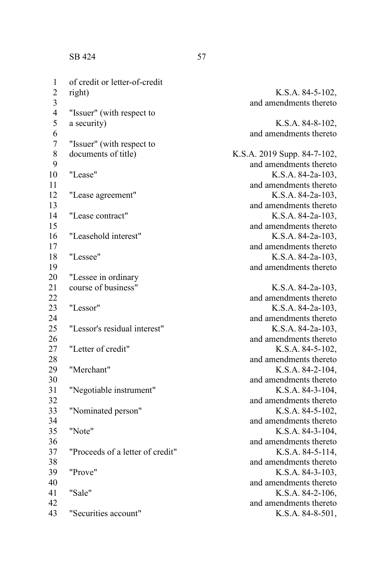| $\mathbf{1}$            | of credit or letter-of-credit    |                             |
|-------------------------|----------------------------------|-----------------------------|
| $\overline{c}$          | right)                           | K.S.A. 84-5-102,            |
| 3                       |                                  | and amendments thereto      |
| $\overline{\mathbf{4}}$ | "Issuer" (with respect to        |                             |
| 5                       | a security)                      | K.S.A. 84-8-102,            |
| 6                       |                                  | and amendments thereto      |
| $\tau$                  | "Issuer" (with respect to        |                             |
| $8\,$                   | documents of title)              | K.S.A. 2019 Supp. 84-7-102, |
| 9                       |                                  | and amendments thereto      |
| 10                      | "Lease"                          | K.S.A. 84-2a-103,           |
| 11                      |                                  | and amendments thereto      |
| 12                      | "Lease agreement"                | K.S.A. 84-2a-103,           |
| 13                      |                                  | and amendments thereto      |
| 14                      | "Lease contract"                 | K.S.A. 84-2a-103,           |
| 15                      |                                  | and amendments thereto      |
| 16                      | "Leasehold interest"             | K.S.A. 84-2a-103,           |
| 17                      |                                  | and amendments thereto      |
| 18                      | "Lessee"                         | K.S.A. 84-2a-103,           |
| 19                      |                                  | and amendments thereto      |
| 20                      | "Lessee in ordinary              |                             |
| 21                      | course of business"              | K.S.A. 84-2a-103,           |
| 22                      |                                  | and amendments thereto      |
| 23                      | "Lessor"                         | K.S.A. 84-2a-103,           |
| 24                      |                                  | and amendments thereto      |
| 25                      | "Lessor's residual interest"     | K.S.A. 84-2a-103,           |
| 26                      |                                  | and amendments thereto      |
| 27                      | "Letter of credit"               | K.S.A. 84-5-102,            |
| 28                      |                                  | and amendments thereto      |
| 29                      | "Merchant"                       | K.S.A. 84-2-104,            |
| 30                      |                                  | and amendments thereto      |
| 31                      | "Negotiable instrument"          | K.S.A. 84-3-104,            |
| 32                      |                                  | and amendments thereto      |
| 33                      | "Nominated person"               | K.S.A. 84-5-102,            |
| 34                      |                                  | and amendments thereto      |
| 35                      | "Note"                           | K.S.A. 84-3-104,            |
| 36                      |                                  | and amendments thereto      |
| 37                      | "Proceeds of a letter of credit" | K.S.A. 84-5-114,            |
| 38                      |                                  | and amendments thereto      |
| 39                      | "Prove"                          | K.S.A. 84-3-103,            |
| 40                      |                                  | and amendments thereto      |
| 41                      | "Sale"                           | K.S.A. 84-2-106,            |
| 42                      |                                  | and amendments thereto      |
| 43                      | "Securities account"             | K.S.A. 84-8-501,            |
|                         |                                  |                             |